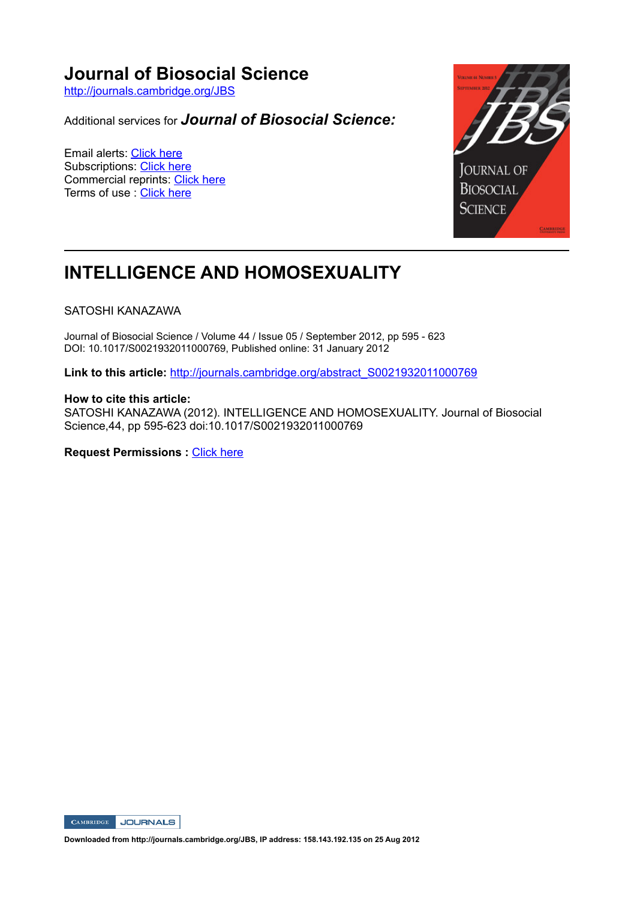# **Journal of Biosocial Science**

http://journals.cambridge.org/JBS

Additional services for *Journal of Biosocial Science:*

Email alerts: Click here Subscriptions: Click here Commercial reprints: Click here Terms of use : Click here



# **INTELLIGENCE AND HOMOSEXUALITY**

## SATOSHI KANAZAWA

Journal of Biosocial Science / Volume 44 / Issue 05 / September 2012, pp 595 623 DOI: 10.1017/S0021932011000769, Published online: 31 January 2012

Link to this article: http://journals.cambridge.org/abstract\_S0021932011000769

## **How to cite this article:**

SATOSHI KANAZAWA (2012). INTELLIGENCE AND HOMOSEXUALITY. Journal of Biosocial Science, 44, pp 595-623 doi:10.1017/S0021932011000769

**Request Permissions :** Click here



**Downloaded from http://journals.cambridge.org/JBS, IP address: 158.143.192.135 on 25 Aug 2012**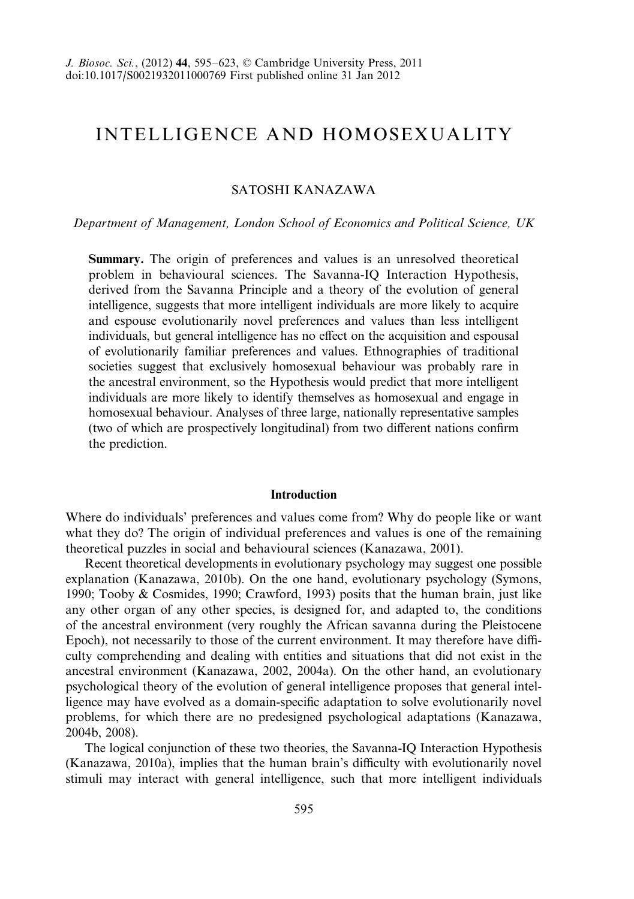## INTELLIGENCE AND HOMOSEXUALITY

## SATOSHI KANAZAWA

#### Department of Management, London School of Economics and Political Science, UK

Summary. The origin of preferences and values is an unresolved theoretical problem in behavioural sciences. The Savanna-IQ Interaction Hypothesis, derived from the Savanna Principle and a theory of the evolution of general intelligence, suggests that more intelligent individuals are more likely to acquire and espouse evolutionarily novel preferences and values than less intelligent individuals, but general intelligence has no effect on the acquisition and espousal of evolutionarily familiar preferences and values. Ethnographies of traditional societies suggest that exclusively homosexual behaviour was probably rare in the ancestral environment, so the Hypothesis would predict that more intelligent individuals are more likely to identify themselves as homosexual and engage in homosexual behaviour. Analyses of three large, nationally representative samples (two of which are prospectively longitudinal) from two different nations confirm the prediction.

#### Introduction

Where do individuals' preferences and values come from? Why do people like or want what they do? The origin of individual preferences and values is one of the remaining theoretical puzzles in social and behavioural sciences (Kanazawa, 2001).

Recent theoretical developments in evolutionary psychology may suggest one possible explanation (Kanazawa, 2010b). On the one hand, evolutionary psychology (Symons, 1990; Tooby & Cosmides, 1990; Crawford, 1993) posits that the human brain, just like any other organ of any other species, is designed for, and adapted to, the conditions of the ancestral environment (very roughly the African savanna during the Pleistocene Epoch), not necessarily to those of the current environment. It may therefore have difficulty comprehending and dealing with entities and situations that did not exist in the ancestral environment (Kanazawa, 2002, 2004a). On the other hand, an evolutionary psychological theory of the evolution of general intelligence proposes that general intelligence may have evolved as a domain-specific adaptation to solve evolutionarily novel problems, for which there are no predesigned psychological adaptations (Kanazawa, 2004b, 2008).

The logical conjunction of these two theories, the Savanna-IQ Interaction Hypothesis (Kanazawa, 2010a), implies that the human brain's difficulty with evolutionarily novel stimuli may interact with general intelligence, such that more intelligent individuals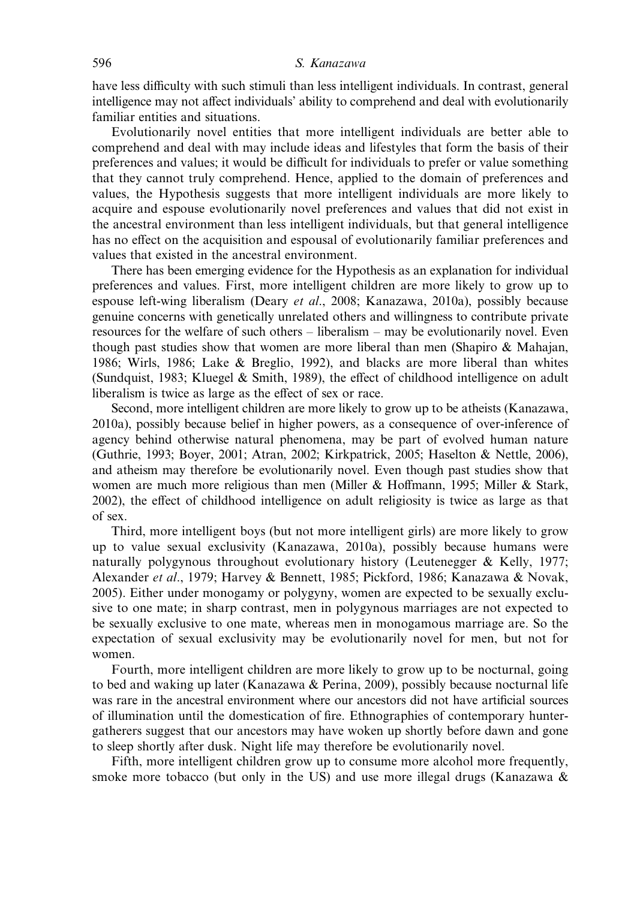have less difficulty with such stimuli than less intelligent individuals. In contrast, general intelligence may not affect individuals' ability to comprehend and deal with evolutionarily familiar entities and situations.

Evolutionarily novel entities that more intelligent individuals are better able to comprehend and deal with may include ideas and lifestyles that form the basis of their preferences and values; it would be difficult for individuals to prefer or value something that they cannot truly comprehend. Hence, applied to the domain of preferences and values, the Hypothesis suggests that more intelligent individuals are more likely to acquire and espouse evolutionarily novel preferences and values that did not exist in the ancestral environment than less intelligent individuals, but that general intelligence has no effect on the acquisition and espousal of evolutionarily familiar preferences and values that existed in the ancestral environment.

There has been emerging evidence for the Hypothesis as an explanation for individual preferences and values. First, more intelligent children are more likely to grow up to espouse left-wing liberalism (Deary et al., 2008; Kanazawa, 2010a), possibly because genuine concerns with genetically unrelated others and willingness to contribute private resources for the welfare of such others – liberalism – may be evolutionarily novel. Even though past studies show that women are more liberal than men (Shapiro & Mahajan, 1986; Wirls, 1986; Lake & Breglio, 1992), and blacks are more liberal than whites (Sundquist, 1983; Kluegel & Smith, 1989), the effect of childhood intelligence on adult liberalism is twice as large as the effect of sex or race.

Second, more intelligent children are more likely to grow up to be atheists (Kanazawa, 2010a), possibly because belief in higher powers, as a consequence of over-inference of agency behind otherwise natural phenomena, may be part of evolved human nature (Guthrie, 1993; Boyer, 2001; Atran, 2002; Kirkpatrick, 2005; Haselton & Nettle, 2006), and atheism may therefore be evolutionarily novel. Even though past studies show that women are much more religious than men (Miller & Hoffmann, 1995; Miller & Stark, 2002), the effect of childhood intelligence on adult religiosity is twice as large as that of sex.

Third, more intelligent boys (but not more intelligent girls) are more likely to grow up to value sexual exclusivity (Kanazawa, 2010a), possibly because humans were naturally polygynous throughout evolutionary history (Leutenegger & Kelly, 1977; Alexander et al., 1979; Harvey & Bennett, 1985; Pickford, 1986; Kanazawa & Novak, 2005). Either under monogamy or polygyny, women are expected to be sexually exclusive to one mate; in sharp contrast, men in polygynous marriages are not expected to be sexually exclusive to one mate, whereas men in monogamous marriage are. So the expectation of sexual exclusivity may be evolutionarily novel for men, but not for women.

Fourth, more intelligent children are more likely to grow up to be nocturnal, going to bed and waking up later (Kanazawa & Perina, 2009), possibly because nocturnal life was rare in the ancestral environment where our ancestors did not have artificial sources of illumination until the domestication of fire. Ethnographies of contemporary huntergatherers suggest that our ancestors may have woken up shortly before dawn and gone to sleep shortly after dusk. Night life may therefore be evolutionarily novel.

Fifth, more intelligent children grow up to consume more alcohol more frequently, smoke more tobacco (but only in the US) and use more illegal drugs (Kanazawa  $\&$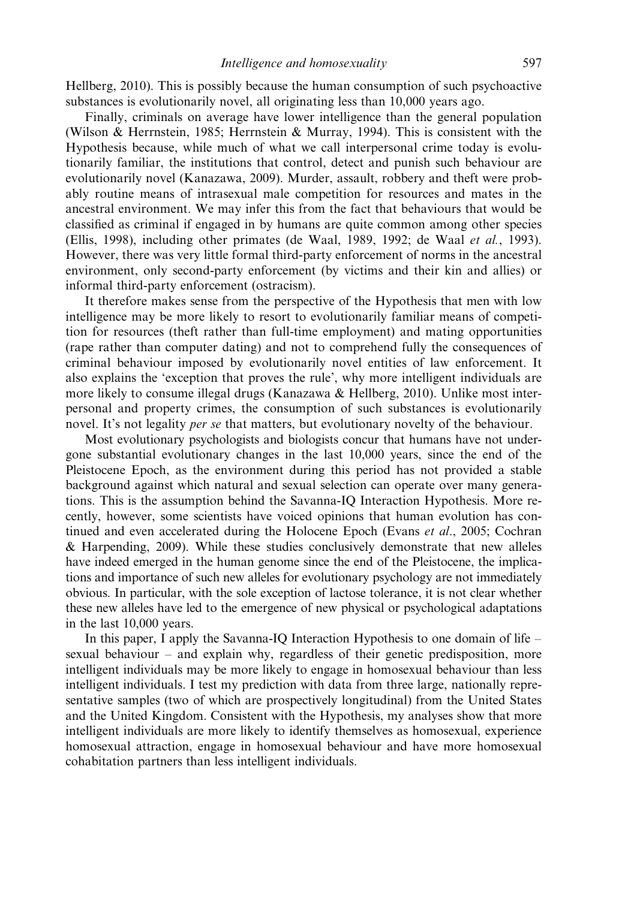Hellberg, 2010). This is possibly because the human consumption of such psychoactive substances is evolutionarily novel, all originating less than 10,000 years ago.

Finally, criminals on average have lower intelligence than the general population (Wilson & Herrnstein, 1985; Herrnstein & Murray, 1994). This is consistent with the Hypothesis because, while much of what we call interpersonal crime today is evolutionarily familiar, the institutions that control, detect and punish such behaviour are evolutionarily novel (Kanazawa, 2009). Murder, assault, robbery and theft were probably routine means of intrasexual male competition for resources and mates in the ancestral environment. We may infer this from the fact that behaviours that would be classified as criminal if engaged in by humans are quite common among other species (Ellis, 1998), including other primates (de Waal, 1989, 1992; de Waal et al., 1993). However, there was very little formal third-party enforcement of norms in the ancestral environment, only second-party enforcement (by victims and their kin and allies) or informal third-party enforcement (ostracism).

It therefore makes sense from the perspective of the Hypothesis that men with low intelligence may be more likely to resort to evolutionarily familiar means of competition for resources (theft rather than full-time employment) and mating opportunities (rape rather than computer dating) and not to comprehend fully the consequences of criminal behaviour imposed by evolutionarily novel entities of law enforcement. It also explains the 'exception that proves the rule', why more intelligent individuals are more likely to consume illegal drugs (Kanazawa & Hellberg, 2010). Unlike most interpersonal and property crimes, the consumption of such substances is evolutionarily novel. It's not legality *per se* that matters, but evolutionary novelty of the behaviour.

Most evolutionary psychologists and biologists concur that humans have not undergone substantial evolutionary changes in the last 10,000 years, since the end of the Pleistocene Epoch, as the environment during this period has not provided a stable background against which natural and sexual selection can operate over many generations. This is the assumption behind the Savanna-IQ Interaction Hypothesis. More recently, however, some scientists have voiced opinions that human evolution has continued and even accelerated during the Holocene Epoch (Evans et al., 2005; Cochran & Harpending, 2009). While these studies conclusively demonstrate that new alleles have indeed emerged in the human genome since the end of the Pleistocene, the implications and importance of such new alleles for evolutionary psychology are not immediately obvious. In particular, with the sole exception of lactose tolerance, it is not clear whether these new alleles have led to the emergence of new physical or psychological adaptations in the last 10,000 years.

In this paper, I apply the Savanna-IQ Interaction Hypothesis to one domain of life – sexual behaviour – and explain why, regardless of their genetic predisposition, more intelligent individuals may be more likely to engage in homosexual behaviour than less intelligent individuals. I test my prediction with data from three large, nationally representative samples (two of which are prospectively longitudinal) from the United States and the United Kingdom. Consistent with the Hypothesis, my analyses show that more intelligent individuals are more likely to identify themselves as homosexual, experience homosexual attraction, engage in homosexual behaviour and have more homosexual cohabitation partners than less intelligent individuals.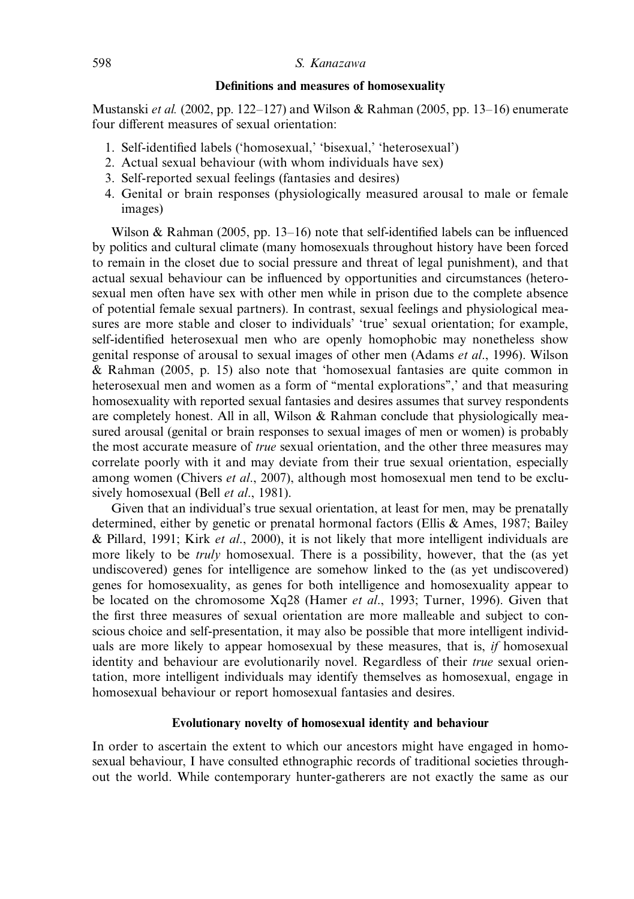## Definitions and measures of homosexuality

Mustanski et al. (2002, pp. 122–127) and Wilson & Rahman (2005, pp. 13–16) enumerate four different measures of sexual orientation:

- 1. Self-identified labels ('homosexual,' 'bisexual,' 'heterosexual')
- 2. Actual sexual behaviour (with whom individuals have sex)
- 3. Self-reported sexual feelings (fantasies and desires)
- 4. Genital or brain responses (physiologically measured arousal to male or female images)

Wilson & Rahman (2005, pp. 13–16) note that self-identified labels can be influenced by politics and cultural climate (many homosexuals throughout history have been forced to remain in the closet due to social pressure and threat of legal punishment), and that actual sexual behaviour can be influenced by opportunities and circumstances (heterosexual men often have sex with other men while in prison due to the complete absence of potential female sexual partners). In contrast, sexual feelings and physiological measures are more stable and closer to individuals' 'true' sexual orientation; for example, self-identified heterosexual men who are openly homophobic may nonetheless show genital response of arousal to sexual images of other men (Adams et al., 1996). Wilson & Rahman (2005, p. 15) also note that 'homosexual fantasies are quite common in heterosexual men and women as a form of "mental explorations",' and that measuring homosexuality with reported sexual fantasies and desires assumes that survey respondents are completely honest. All in all, Wilson  $\&$  Rahman conclude that physiologically measured arousal (genital or brain responses to sexual images of men or women) is probably the most accurate measure of *true* sexual orientation, and the other three measures may correlate poorly with it and may deviate from their true sexual orientation, especially among women (Chivers et al., 2007), although most homosexual men tend to be exclusively homosexual (Bell et al., 1981).

Given that an individual's true sexual orientation, at least for men, may be prenatally determined, either by genetic or prenatal hormonal factors (Ellis & Ames, 1987; Bailey & Pillard, 1991; Kirk et al., 2000), it is not likely that more intelligent individuals are more likely to be *truly* homosexual. There is a possibility, however, that the (as yet undiscovered) genes for intelligence are somehow linked to the (as yet undiscovered) genes for homosexuality, as genes for both intelligence and homosexuality appear to be located on the chromosome Xq28 (Hamer et al., 1993; Turner, 1996). Given that the first three measures of sexual orientation are more malleable and subject to conscious choice and self-presentation, it may also be possible that more intelligent individuals are more likely to appear homosexual by these measures, that is, if homosexual identity and behaviour are evolutionarily novel. Regardless of their *true* sexual orientation, more intelligent individuals may identify themselves as homosexual, engage in homosexual behaviour or report homosexual fantasies and desires.

## Evolutionary novelty of homosexual identity and behaviour

In order to ascertain the extent to which our ancestors might have engaged in homosexual behaviour, I have consulted ethnographic records of traditional societies throughout the world. While contemporary hunter-gatherers are not exactly the same as our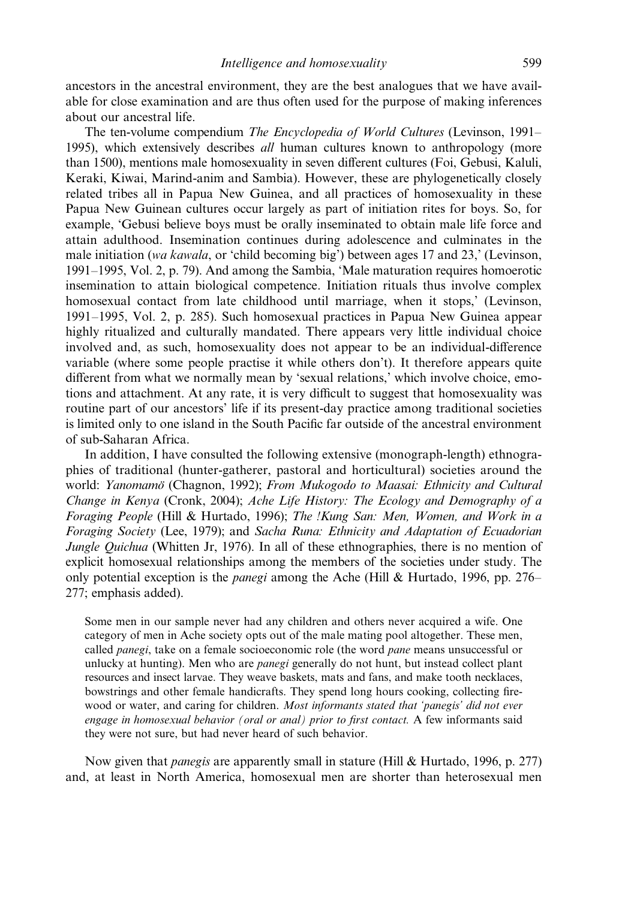ancestors in the ancestral environment, they are the best analogues that we have available for close examination and are thus often used for the purpose of making inferences about our ancestral life.

The ten-volume compendium The Encyclopedia of World Cultures (Levinson, 1991– 1995), which extensively describes *all* human cultures known to anthropology (more than 1500), mentions male homosexuality in seven different cultures (Foi, Gebusi, Kaluli, Keraki, Kiwai, Marind-anim and Sambia). However, these are phylogenetically closely related tribes all in Papua New Guinea, and all practices of homosexuality in these Papua New Guinean cultures occur largely as part of initiation rites for boys. So, for example, 'Gebusi believe boys must be orally inseminated to obtain male life force and attain adulthood. Insemination continues during adolescence and culminates in the male initiation (wa kawala, or 'child becoming big') between ages 17 and 23,' (Levinson, 1991–1995, Vol. 2, p. 79). And among the Sambia, 'Male maturation requires homoerotic insemination to attain biological competence. Initiation rituals thus involve complex homosexual contact from late childhood until marriage, when it stops,' (Levinson, 1991–1995, Vol. 2, p. 285). Such homosexual practices in Papua New Guinea appear highly ritualized and culturally mandated. There appears very little individual choice involved and, as such, homosexuality does not appear to be an individual-difference variable (where some people practise it while others don't). It therefore appears quite different from what we normally mean by 'sexual relations,' which involve choice, emotions and attachment. At any rate, it is very difficult to suggest that homosexuality was routine part of our ancestors' life if its present-day practice among traditional societies is limited only to one island in the South Pacific far outside of the ancestral environment of sub-Saharan Africa.

In addition, I have consulted the following extensive (monograph-length) ethnographies of traditional (hunter-gatherer, pastoral and horticultural) societies around the world: Yanomamö (Chagnon, 1992); From Mukogodo to Maasai: Ethnicity and Cultural Change in Kenya (Cronk, 2004); Ache Life History: The Ecology and Demography of a Foraging People (Hill & Hurtado, 1996); The !Kung San: Men, Women, and Work in a Foraging Society (Lee, 1979); and Sacha Runa: Ethnicity and Adaptation of Ecuadorian Jungle Quichua (Whitten Jr, 1976). In all of these ethnographies, there is no mention of explicit homosexual relationships among the members of the societies under study. The only potential exception is the *panegi* among the Ache (Hill & Hurtado, 1996, pp. 276– 277; emphasis added).

Some men in our sample never had any children and others never acquired a wife. One category of men in Ache society opts out of the male mating pool altogether. These men, called *panegi*, take on a female socioeconomic role (the word *pane* means unsuccessful or unlucky at hunting). Men who are *panegi* generally do not hunt, but instead collect plant resources and insect larvae. They weave baskets, mats and fans, and make tooth necklaces, bowstrings and other female handicrafts. They spend long hours cooking, collecting firewood or water, and caring for children. Most informants stated that 'panegis' did not ever engage in homosexual behavior (oral or anal) prior to first contact. A few informants said they were not sure, but had never heard of such behavior.

Now given that *panegis* are apparently small in stature (Hill & Hurtado, 1996, p. 277) and, at least in North America, homosexual men are shorter than heterosexual men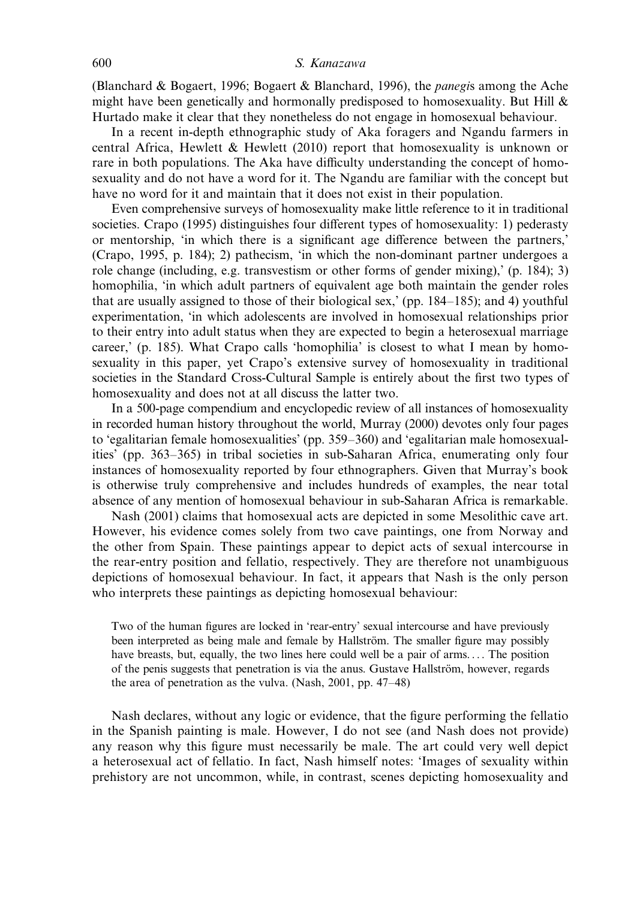#### 600 S. Kanazawa

(Blanchard & Bogaert, 1996; Bogaert & Blanchard, 1996), the *panegis* among the Ache might have been genetically and hormonally predisposed to homosexuality. But Hill  $\&$ Hurtado make it clear that they nonetheless do not engage in homosexual behaviour.

In a recent in-depth ethnographic study of Aka foragers and Ngandu farmers in central Africa, Hewlett & Hewlett (2010) report that homosexuality is unknown or rare in both populations. The Aka have difficulty understanding the concept of homosexuality and do not have a word for it. The Ngandu are familiar with the concept but have no word for it and maintain that it does not exist in their population.

Even comprehensive surveys of homosexuality make little reference to it in traditional societies. Crapo (1995) distinguishes four different types of homosexuality: 1) pederasty or mentorship, 'in which there is a significant age difference between the partners,' (Crapo, 1995, p. 184); 2) pathecism, 'in which the non-dominant partner undergoes a role change (including, e.g. transvestism or other forms of gender mixing),' (p. 184); 3) homophilia, 'in which adult partners of equivalent age both maintain the gender roles that are usually assigned to those of their biological sex,' (pp. 184–185); and 4) youthful experimentation, 'in which adolescents are involved in homosexual relationships prior to their entry into adult status when they are expected to begin a heterosexual marriage career,' (p. 185). What Crapo calls 'homophilia' is closest to what I mean by homosexuality in this paper, yet Crapo's extensive survey of homosexuality in traditional societies in the Standard Cross-Cultural Sample is entirely about the first two types of homosexuality and does not at all discuss the latter two.

In a 500-page compendium and encyclopedic review of all instances of homosexuality in recorded human history throughout the world, Murray (2000) devotes only four pages to 'egalitarian female homosexualities' (pp. 359–360) and 'egalitarian male homosexualities' (pp. 363–365) in tribal societies in sub-Saharan Africa, enumerating only four instances of homosexuality reported by four ethnographers. Given that Murray's book is otherwise truly comprehensive and includes hundreds of examples, the near total absence of any mention of homosexual behaviour in sub-Saharan Africa is remarkable.

Nash (2001) claims that homosexual acts are depicted in some Mesolithic cave art. However, his evidence comes solely from two cave paintings, one from Norway and the other from Spain. These paintings appear to depict acts of sexual intercourse in the rear-entry position and fellatio, respectively. They are therefore not unambiguous depictions of homosexual behaviour. In fact, it appears that Nash is the only person who interprets these paintings as depicting homosexual behaviour:

Two of the human figures are locked in 'rear-entry' sexual intercourse and have previously been interpreted as being male and female by Hallström. The smaller figure may possibly have breasts, but, equally, the two lines here could well be a pair of arms.... The position of the penis suggests that penetration is via the anus. Gustave Hallström, however, regards the area of penetration as the vulva. (Nash, 2001, pp. 47–48)

Nash declares, without any logic or evidence, that the figure performing the fellatio in the Spanish painting is male. However, I do not see (and Nash does not provide) any reason why this figure must necessarily be male. The art could very well depict a heterosexual act of fellatio. In fact, Nash himself notes: 'Images of sexuality within prehistory are not uncommon, while, in contrast, scenes depicting homosexuality and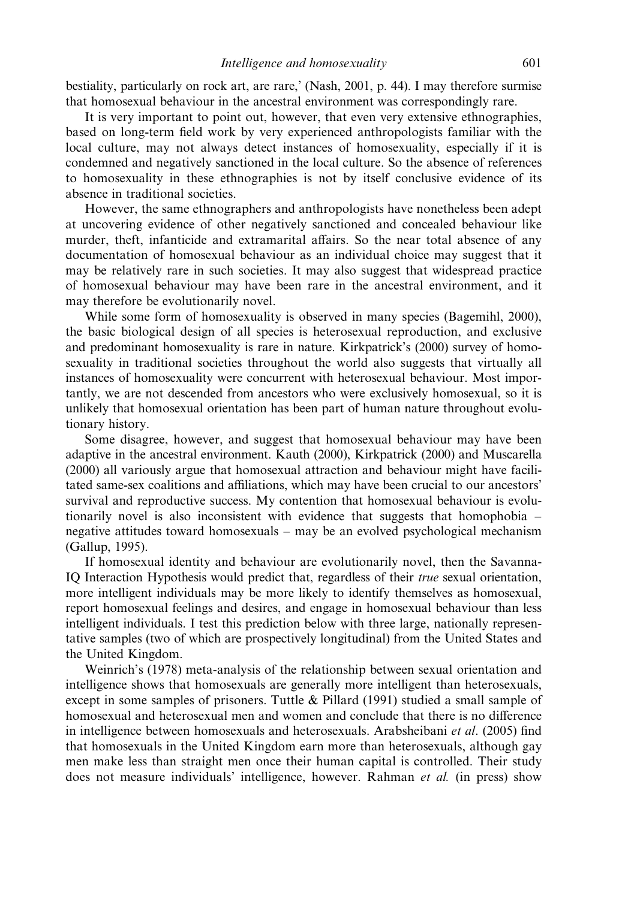bestiality, particularly on rock art, are rare,' (Nash, 2001, p. 44). I may therefore surmise that homosexual behaviour in the ancestral environment was correspondingly rare.

It is very important to point out, however, that even very extensive ethnographies, based on long-term field work by very experienced anthropologists familiar with the local culture, may not always detect instances of homosexuality, especially if it is condemned and negatively sanctioned in the local culture. So the absence of references to homosexuality in these ethnographies is not by itself conclusive evidence of its absence in traditional societies.

However, the same ethnographers and anthropologists have nonetheless been adept at uncovering evidence of other negatively sanctioned and concealed behaviour like murder, theft, infanticide and extramarital affairs. So the near total absence of any documentation of homosexual behaviour as an individual choice may suggest that it may be relatively rare in such societies. It may also suggest that widespread practice of homosexual behaviour may have been rare in the ancestral environment, and it may therefore be evolutionarily novel.

While some form of homosexuality is observed in many species (Bagemihl, 2000), the basic biological design of all species is heterosexual reproduction, and exclusive and predominant homosexuality is rare in nature. Kirkpatrick's (2000) survey of homosexuality in traditional societies throughout the world also suggests that virtually all instances of homosexuality were concurrent with heterosexual behaviour. Most importantly, we are not descended from ancestors who were exclusively homosexual, so it is unlikely that homosexual orientation has been part of human nature throughout evolutionary history.

Some disagree, however, and suggest that homosexual behaviour may have been adaptive in the ancestral environment. Kauth (2000), Kirkpatrick (2000) and Muscarella (2000) all variously argue that homosexual attraction and behaviour might have facilitated same-sex coalitions and affiliations, which may have been crucial to our ancestors' survival and reproductive success. My contention that homosexual behaviour is evolutionarily novel is also inconsistent with evidence that suggests that homophobia – negative attitudes toward homosexuals – may be an evolved psychological mechanism (Gallup, 1995).

If homosexual identity and behaviour are evolutionarily novel, then the Savanna-IO Interaction Hypothesis would predict that, regardless of their *true* sexual orientation, more intelligent individuals may be more likely to identify themselves as homosexual, report homosexual feelings and desires, and engage in homosexual behaviour than less intelligent individuals. I test this prediction below with three large, nationally representative samples (two of which are prospectively longitudinal) from the United States and the United Kingdom.

Weinrich's (1978) meta-analysis of the relationship between sexual orientation and intelligence shows that homosexuals are generally more intelligent than heterosexuals, except in some samples of prisoners. Tuttle  $\&$  Pillard (1991) studied a small sample of homosexual and heterosexual men and women and conclude that there is no difference in intelligence between homosexuals and heterosexuals. Arabsheibani *et al.* (2005) find that homosexuals in the United Kingdom earn more than heterosexuals, although gay men make less than straight men once their human capital is controlled. Their study does not measure individuals' intelligence, however. Rahman et al. (in press) show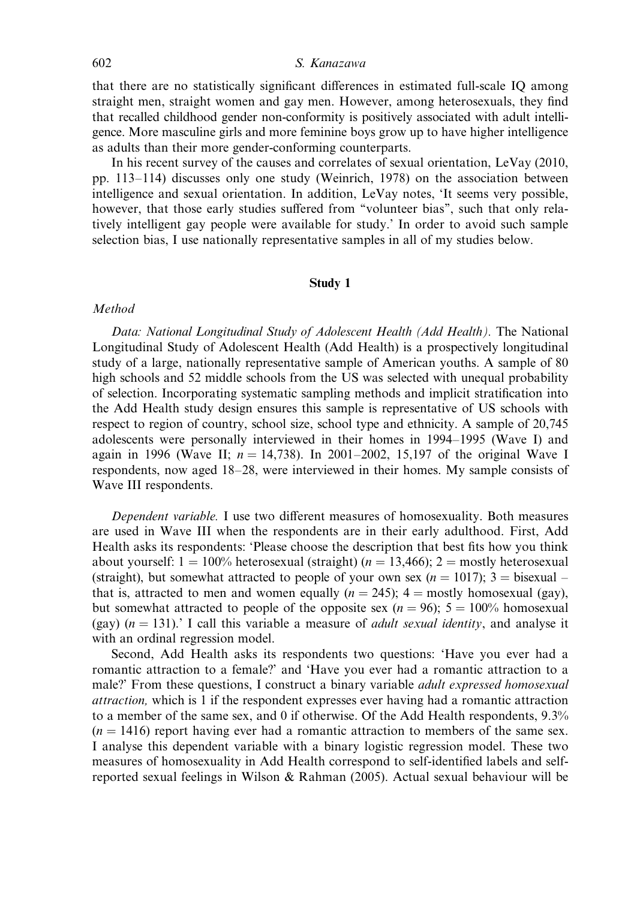that there are no statistically significant differences in estimated full-scale IQ among straight men, straight women and gay men. However, among heterosexuals, they find that recalled childhood gender non-conformity is positively associated with adult intelligence. More masculine girls and more feminine boys grow up to have higher intelligence as adults than their more gender-conforming counterparts.

In his recent survey of the causes and correlates of sexual orientation, LeVay (2010, pp. 113–114) discusses only one study (Weinrich, 1978) on the association between intelligence and sexual orientation. In addition, LeVay notes, 'It seems very possible, however, that those early studies suffered from "volunteer bias", such that only relatively intelligent gay people were available for study.' In order to avoid such sample selection bias, I use nationally representative samples in all of my studies below.

#### Study 1

#### Method

Data: National Longitudinal Study of Adolescent Health (Add Health). The National Longitudinal Study of Adolescent Health (Add Health) is a prospectively longitudinal study of a large, nationally representative sample of American youths. A sample of 80 high schools and 52 middle schools from the US was selected with unequal probability of selection. Incorporating systematic sampling methods and implicit stratification into the Add Health study design ensures this sample is representative of US schools with respect to region of country, school size, school type and ethnicity. A sample of 20,745 adolescents were personally interviewed in their homes in 1994–1995 (Wave I) and again in 1996 (Wave II;  $n = 14,738$ ). In 2001–2002, 15,197 of the original Wave I respondents, now aged 18–28, were interviewed in their homes. My sample consists of Wave III respondents.

Dependent variable. I use two different measures of homosexuality. Both measures are used in Wave III when the respondents are in their early adulthood. First, Add Health asks its respondents: 'Please choose the description that best fits how you think about yourself:  $1 = 100\%$  heterosexual (straight) ( $n = 13,466$ );  $2 =$  mostly heterosexual (straight), but somewhat attracted to people of your own sex ( $n = 1017$ ); 3 = bisexual – that is, attracted to men and women equally  $(n = 245)$ ; 4 = mostly homosexual (gay), but somewhat attracted to people of the opposite sex  $(n = 96)$ ;  $5 = 100\%$  homosexual (gay)  $(n = 131)$ .' I call this variable a measure of *adult sexual identity*, and analyse it with an ordinal regression model.

Second, Add Health asks its respondents two questions: 'Have you ever had a romantic attraction to a female?' and 'Have you ever had a romantic attraction to a male?' From these questions, I construct a binary variable adult expressed homosexual attraction, which is 1 if the respondent expresses ever having had a romantic attraction to a member of the same sex, and 0 if otherwise. Of the Add Health respondents, 9.3%  $(n = 1416)$  report having ever had a romantic attraction to members of the same sex. I analyse this dependent variable with a binary logistic regression model. These two measures of homosexuality in Add Health correspond to self-identified labels and selfreported sexual feelings in Wilson & Rahman (2005). Actual sexual behaviour will be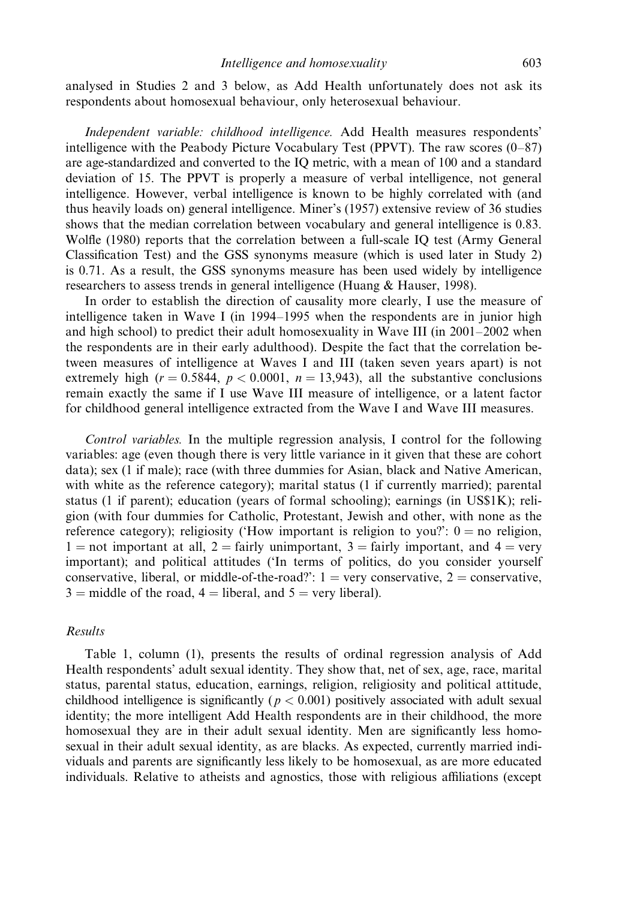analysed in Studies 2 and 3 below, as Add Health unfortunately does not ask its respondents about homosexual behaviour, only heterosexual behaviour.

Independent variable: childhood intelligence. Add Health measures respondents' intelligence with the Peabody Picture Vocabulary Test (PPVT). The raw scores (0–87) are age-standardized and converted to the IQ metric, with a mean of 100 and a standard deviation of 15. The PPVT is properly a measure of verbal intelligence, not general intelligence. However, verbal intelligence is known to be highly correlated with (and thus heavily loads on) general intelligence. Miner's (1957) extensive review of 36 studies shows that the median correlation between vocabulary and general intelligence is 0.83. Wolfle (1980) reports that the correlation between a full-scale IQ test (Army General Classification Test) and the GSS synonyms measure (which is used later in Study 2) is 0.71. As a result, the GSS synonyms measure has been used widely by intelligence researchers to assess trends in general intelligence (Huang & Hauser, 1998).

In order to establish the direction of causality more clearly, I use the measure of intelligence taken in Wave I (in 1994–1995 when the respondents are in junior high and high school) to predict their adult homosexuality in Wave III (in 2001–2002 when the respondents are in their early adulthood). Despite the fact that the correlation between measures of intelligence at Waves I and III (taken seven years apart) is not extremely high ( $r = 0.5844$ ,  $p < 0.0001$ ,  $n = 13,943$ ), all the substantive conclusions remain exactly the same if I use Wave III measure of intelligence, or a latent factor for childhood general intelligence extracted from the Wave I and Wave III measures.

Control variables. In the multiple regression analysis, I control for the following variables: age (even though there is very little variance in it given that these are cohort data); sex (1 if male); race (with three dummies for Asian, black and Native American, with white as the reference category); marital status (1 if currently married); parental status (1 if parent); education (years of formal schooling); earnings (in US\$1K); religion (with four dummies for Catholic, Protestant, Jewish and other, with none as the reference category); religiosity ('How important is religion to you?':  $0 =$  no religion,  $1 =$  not important at all,  $2 =$  fairly unimportant,  $3 =$  fairly important, and  $4 =$  very important); and political attitudes ('In terms of politics, do you consider yourself conservative, liberal, or middle-of-the-road?':  $1 = \text{very conservative}, 2 = \text{conservative}$ ,  $3 =$  middle of the road,  $4 =$  liberal, and  $5 =$  very liberal).

## Results

Table 1, column (1), presents the results of ordinal regression analysis of Add Health respondents' adult sexual identity. They show that, net of sex, age, race, marital status, parental status, education, earnings, religion, religiosity and political attitude, childhood intelligence is significantly ( $p < 0.001$ ) positively associated with adult sexual identity; the more intelligent Add Health respondents are in their childhood, the more homosexual they are in their adult sexual identity. Men are significantly less homosexual in their adult sexual identity, as are blacks. As expected, currently married individuals and parents are significantly less likely to be homosexual, as are more educated individuals. Relative to atheists and agnostics, those with religious affiliations (except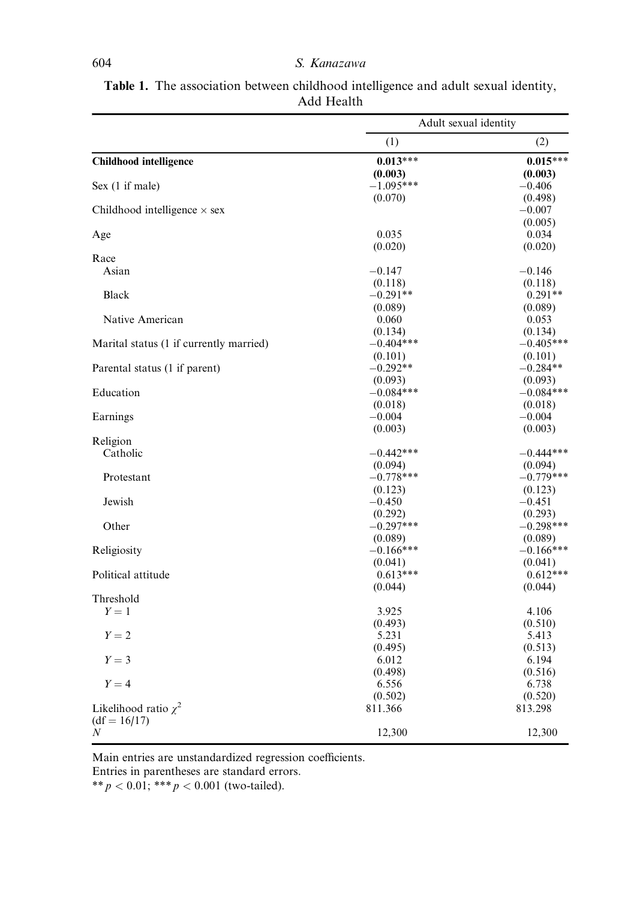|                                         | Adult sexual identity |             |
|-----------------------------------------|-----------------------|-------------|
|                                         | (1)                   | (2)         |
| <b>Childhood</b> intelligence           | $0.013***$            | $0.015***$  |
|                                         | (0.003)               | (0.003)     |
| Sex $(1 \text{ if male})$               | $-1.095***$           | $-0.406$    |
|                                         | (0.070)               | (0.498)     |
| Childhood intelligence $\times$ sex     |                       | $-0.007$    |
|                                         |                       | (0.005)     |
| Age                                     | 0.035                 | 0.034       |
|                                         | (0.020)               | (0.020)     |
| Race                                    |                       |             |
| Asian                                   | $-0.147$              | $-0.146$    |
|                                         | (0.118)               | (0.118)     |
| Black                                   | $-0.291**$            | $0.291**$   |
|                                         | (0.089)               | (0.089)     |
| Native American                         | 0.060                 | 0.053       |
|                                         | (0.134)               | (0.134)     |
| Marital status (1 if currently married) | $-0.404***$           | $-0.405***$ |
|                                         | (0.101)               | (0.101)     |
| Parental status (1 if parent)           | $-0.292**$            | $-0.284**$  |
|                                         | (0.093)               | (0.093)     |
| Education                               | $-0.084***$           | $-0.084***$ |
|                                         | (0.018)               | (0.018)     |
| Earnings                                | $-0.004$              | $-0.004$    |
|                                         | (0.003)               | (0.003)     |
| Religion                                |                       |             |
| Catholic                                | $-0.442***$           | $-0.444***$ |
|                                         | (0.094)               | (0.094)     |
| Protestant                              | $-0.778***$           | $-0.779***$ |
|                                         | (0.123)               | (0.123)     |
| Jewish                                  | $-0.450$              | $-0.451$    |
|                                         | (0.292)               | (0.293)     |
| Other                                   | $-0.297***$           | $-0.298***$ |
|                                         | (0.089)               | (0.089)     |
| Religiosity                             | $-0.166***$           | $-0.166***$ |
|                                         | (0.041)               | (0.041)     |
| Political attitude                      | $0.613***$            | $0.612***$  |
|                                         | (0.044)               | (0.044)     |
| Threshold                               |                       |             |
| $Y=1$                                   | 3.925                 | 4.106       |
|                                         | (0.493)               | (0.510)     |
| $Y = 2$                                 | 5.231                 | 5.413       |
|                                         | (0.495)               | (0.513)     |
| $Y = 3$                                 | 6.012                 | 6.194       |
|                                         | (0.498)               | (0.516)     |
| $Y = 4$                                 | 6.556                 | 6.738       |
|                                         | (0.502)               | (0.520)     |
| Likelihood ratio $\chi^2$               | 811.366               | 813.298     |
| $(df = 16/17)$                          |                       |             |
| N                                       | 12,300                | 12,300      |
|                                         |                       |             |

Table 1. The association between childhood intelligence and adult sexual identity, Add Health

Main entries are unstandardized regression coefficients.

Entries in parentheses are standard errors.

\*\*  $p < 0.01$ ; \*\*\*  $p < 0.001$  (two-tailed).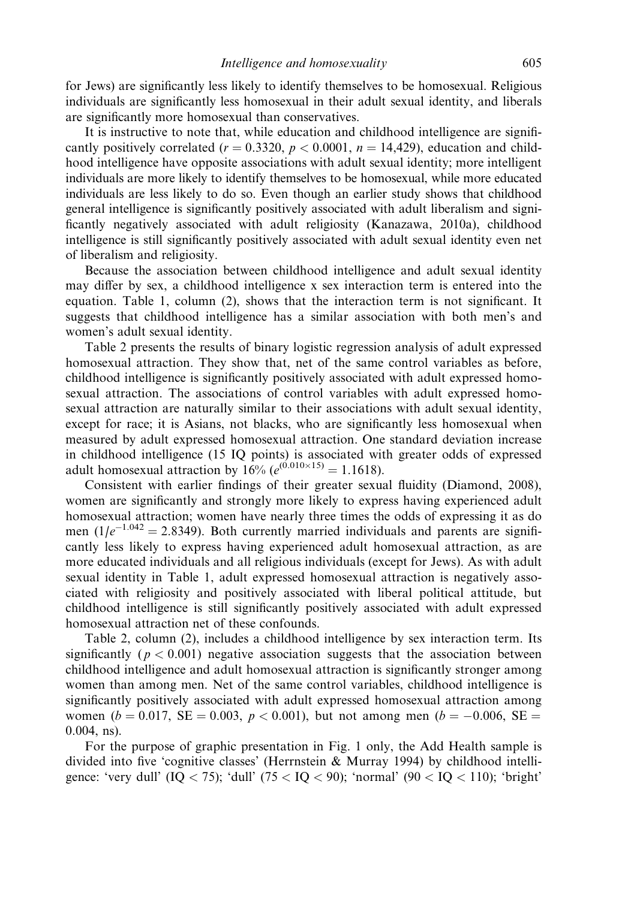for Jews) are significantly less likely to identify themselves to be homosexual. Religious individuals are significantly less homosexual in their adult sexual identity, and liberals are significantly more homosexual than conservatives.

It is instructive to note that, while education and childhood intelligence are significantly positively correlated ( $r = 0.3320$ ,  $p < 0.0001$ ,  $n = 14,429$ ), education and childhood intelligence have opposite associations with adult sexual identity; more intelligent individuals are more likely to identify themselves to be homosexual, while more educated individuals are less likely to do so. Even though an earlier study shows that childhood general intelligence is significantly positively associated with adult liberalism and significantly negatively associated with adult religiosity (Kanazawa, 2010a), childhood intelligence is still significantly positively associated with adult sexual identity even net of liberalism and religiosity.

Because the association between childhood intelligence and adult sexual identity may differ by sex, a childhood intelligence x sex interaction term is entered into the equation. Table 1, column (2), shows that the interaction term is not significant. It suggests that childhood intelligence has a similar association with both men's and women's adult sexual identity.

Table 2 presents the results of binary logistic regression analysis of adult expressed homosexual attraction. They show that, net of the same control variables as before, childhood intelligence is significantly positively associated with adult expressed homosexual attraction. The associations of control variables with adult expressed homosexual attraction are naturally similar to their associations with adult sexual identity, except for race; it is Asians, not blacks, who are significantly less homosexual when measured by adult expressed homosexual attraction. One standard deviation increase in childhood intelligence (15 IQ points) is associated with greater odds of expressed adult homosexual attraction by  $16\% (e^{(0.010 \times 15)} = 1.1618)$ .

Consistent with earlier findings of their greater sexual fluidity (Diamond, 2008), women are significantly and strongly more likely to express having experienced adult homosexual attraction; women have nearly three times the odds of expressing it as do men ( $1/e^{-1.042}$  = 2.8349). Both currently married individuals and parents are significantly less likely to express having experienced adult homosexual attraction, as are more educated individuals and all religious individuals (except for Jews). As with adult sexual identity in Table 1, adult expressed homosexual attraction is negatively associated with religiosity and positively associated with liberal political attitude, but childhood intelligence is still significantly positively associated with adult expressed homosexual attraction net of these confounds.

Table 2, column (2), includes a childhood intelligence by sex interaction term. Its significantly ( $p < 0.001$ ) negative association suggests that the association between childhood intelligence and adult homosexual attraction is significantly stronger among women than among men. Net of the same control variables, childhood intelligence is significantly positively associated with adult expressed homosexual attraction among women ( $b = 0.017$ , SE = 0.003,  $p < 0.001$ ), but not among men ( $b = -0.006$ , SE = 0.004, ns).

For the purpose of graphic presentation in Fig. 1 only, the Add Health sample is divided into five 'cognitive classes' (Herrnstein & Murray 1994) by childhood intelligence: 'very dull'  $(IQ < 75)$ ; 'dull'  $(75 < IQ < 90)$ ; 'normal'  $(90 < IQ < 110)$ ; 'bright'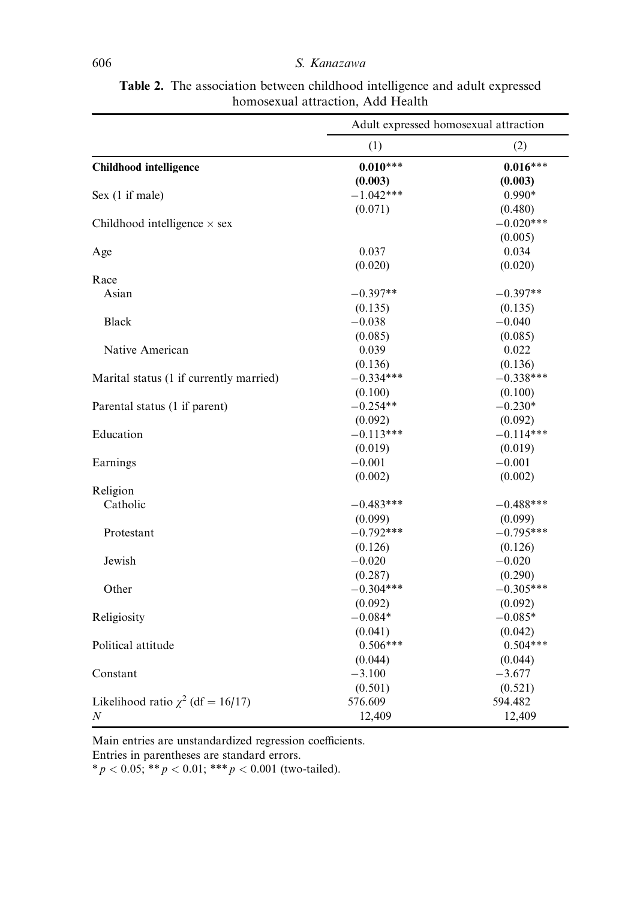|                                         | Adult expressed homosexual attraction |             |  |
|-----------------------------------------|---------------------------------------|-------------|--|
|                                         | (1)                                   | (2)         |  |
| <b>Childhood</b> intelligence           | $0.010***$                            | $0.016***$  |  |
|                                         | (0.003)                               | (0.003)     |  |
| Sex (1 if male)                         | $-1.042***$                           | $0.990*$    |  |
|                                         | (0.071)                               | (0.480)     |  |
| Childhood intelligence $\times$ sex     |                                       | $-0.020***$ |  |
|                                         |                                       | (0.005)     |  |
| Age                                     | 0.037                                 | 0.034       |  |
|                                         | (0.020)                               | (0.020)     |  |
| Race                                    |                                       |             |  |
| Asian                                   | $-0.397**$                            | $-0.397**$  |  |
|                                         | (0.135)                               | (0.135)     |  |
| Black                                   | $-0.038$                              | $-0.040$    |  |
|                                         | (0.085)                               | (0.085)     |  |
| Native American                         | 0.039                                 | 0.022       |  |
|                                         | (0.136)                               | (0.136)     |  |
| Marital status (1 if currently married) | $-0.334***$                           | $-0.338***$ |  |
|                                         | (0.100)                               | (0.100)     |  |
| Parental status (1 if parent)           | $-0.254**$                            | $-0.230*$   |  |
|                                         | (0.092)                               | (0.092)     |  |
| Education                               | $-0.113***$                           | $-0.114***$ |  |
|                                         | (0.019)                               | (0.019)     |  |
| Earnings                                | $-0.001$                              | $-0.001$    |  |
|                                         | (0.002)                               | (0.002)     |  |
| Religion                                |                                       |             |  |
| Catholic                                | $-0.483***$                           | $-0.488***$ |  |
|                                         | (0.099)                               | (0.099)     |  |
| Protestant                              | $-0.792***$                           | $-0.795***$ |  |
|                                         | (0.126)                               | (0.126)     |  |
| Jewish                                  | $-0.020$                              | $-0.020$    |  |
|                                         | (0.287)                               | (0.290)     |  |
| Other                                   | $-0.304***$                           | $-0.305***$ |  |
|                                         | (0.092)                               | (0.092)     |  |
| Religiosity                             | $-0.084*$                             | $-0.085*$   |  |
|                                         | (0.041)                               | (0.042)     |  |
| Political attitude                      | $0.506***$                            | $0.504***$  |  |
|                                         | (0.044)                               | (0.044)     |  |
| Constant                                | $-3.100$                              | $-3.677$    |  |
|                                         | (0.501)                               | (0.521)     |  |
| Likelihood ratio $\chi^2$ (df = 16/17)  | 576.609                               | 594.482     |  |
| N                                       | 12,409                                | 12,409      |  |

Table 2. The association between childhood intelligence and adult expressed homosexual attraction, Add Health

Main entries are unstandardized regression coefficients.

Entries in parentheses are standard errors.

 $* p < 0.05; ** p < 0.01; ** p < 0.001 \text{ (two-tailed)}.$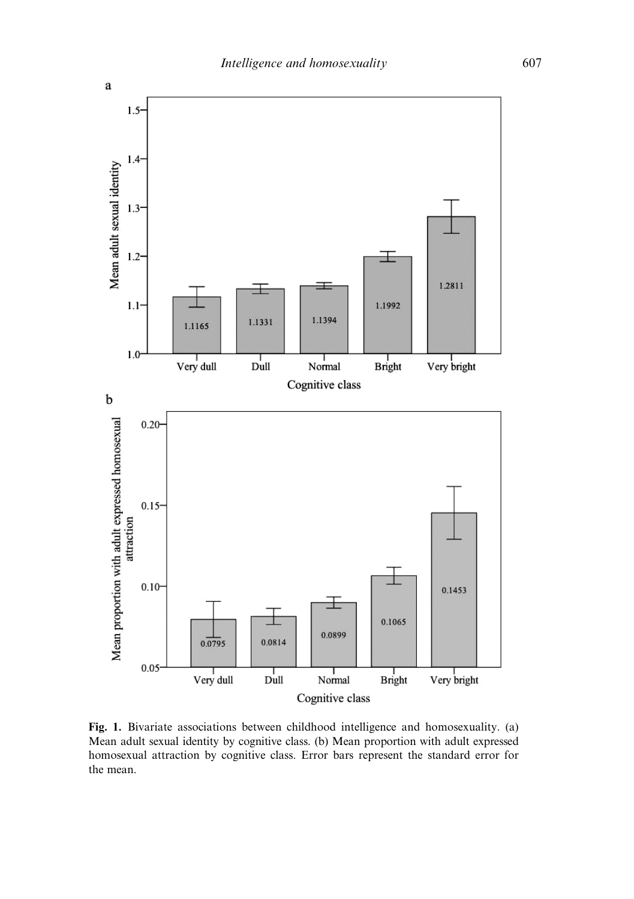

Fig. 1. Bivariate associations between childhood intelligence and homosexuality. (a) Mean adult sexual identity by cognitive class. (b) Mean proportion with adult expressed homosexual attraction by cognitive class. Error bars represent the standard error for the mean.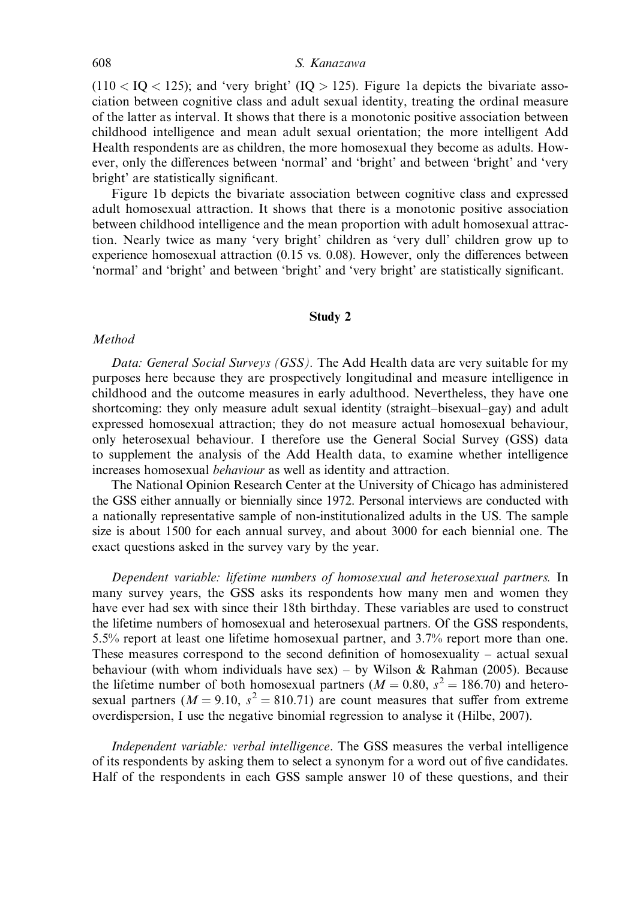$(110 <$  IQ  $<$  125); and 'very bright' (IQ  $>$  125). Figure 1a depicts the bivariate association between cognitive class and adult sexual identity, treating the ordinal measure of the latter as interval. It shows that there is a monotonic positive association between childhood intelligence and mean adult sexual orientation; the more intelligent Add Health respondents are as children, the more homosexual they become as adults. However, only the differences between 'normal' and 'bright' and between 'bright' and 'very bright' are statistically significant.

Figure 1b depicts the bivariate association between cognitive class and expressed adult homosexual attraction. It shows that there is a monotonic positive association between childhood intelligence and the mean proportion with adult homosexual attraction. Nearly twice as many 'very bright' children as 'very dull' children grow up to experience homosexual attraction (0.15 vs. 0.08). However, only the differences between 'normal' and 'bright' and between 'bright' and 'very bright' are statistically significant.

#### Study 2

#### Method

Data: General Social Surveys (GSS). The Add Health data are very suitable for my purposes here because they are prospectively longitudinal and measure intelligence in childhood and the outcome measures in early adulthood. Nevertheless, they have one shortcoming: they only measure adult sexual identity (straight–bisexual–gay) and adult expressed homosexual attraction; they do not measure actual homosexual behaviour, only heterosexual behaviour. I therefore use the General Social Survey (GSS) data to supplement the analysis of the Add Health data, to examine whether intelligence increases homosexual behaviour as well as identity and attraction.

The National Opinion Research Center at the University of Chicago has administered the GSS either annually or biennially since 1972. Personal interviews are conducted with a nationally representative sample of non-institutionalized adults in the US. The sample size is about 1500 for each annual survey, and about 3000 for each biennial one. The exact questions asked in the survey vary by the year.

Dependent variable: lifetime numbers of homosexual and heterosexual partners. In many survey years, the GSS asks its respondents how many men and women they have ever had sex with since their 18th birthday. These variables are used to construct the lifetime numbers of homosexual and heterosexual partners. Of the GSS respondents, 5.5% report at least one lifetime homosexual partner, and 3.7% report more than one. These measures correspond to the second definition of homosexuality – actual sexual behaviour (with whom individuals have sex) – by Wilson & Rahman (2005). Because the lifetime number of both homosexual partners ( $M = 0.80$ ,  $s^2 = 186.70$ ) and heterosexual partners ( $M = 9.10$ ,  $s^2 = 810.71$ ) are count measures that suffer from extreme overdispersion, I use the negative binomial regression to analyse it (Hilbe, 2007).

Independent variable: verbal intelligence. The GSS measures the verbal intelligence of its respondents by asking them to select a synonym for a word out of five candidates. Half of the respondents in each GSS sample answer 10 of these questions, and their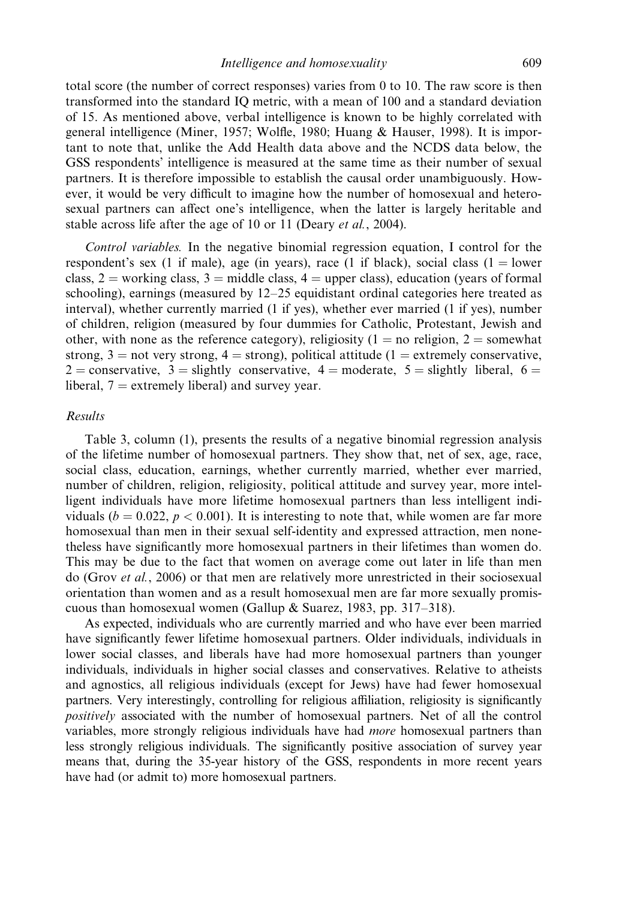total score (the number of correct responses) varies from 0 to 10. The raw score is then transformed into the standard IQ metric, with a mean of 100 and a standard deviation of 15. As mentioned above, verbal intelligence is known to be highly correlated with general intelligence (Miner, 1957; Wolfle, 1980; Huang & Hauser, 1998). It is important to note that, unlike the Add Health data above and the NCDS data below, the GSS respondents' intelligence is measured at the same time as their number of sexual partners. It is therefore impossible to establish the causal order unambiguously. However, it would be very difficult to imagine how the number of homosexual and heterosexual partners can affect one's intelligence, when the latter is largely heritable and stable across life after the age of 10 or 11 (Deary *et al.*, 2004).

Control variables. In the negative binomial regression equation, I control for the respondent's sex (1 if male), age (in years), race (1 if black), social class (1 = lower class,  $2 =$  working class,  $3 =$  middle class,  $4 =$  upper class), education (years of formal schooling), earnings (measured by  $12-25$  equidistant ordinal categories here treated as interval), whether currently married (1 if yes), whether ever married (1 if yes), number of children, religion (measured by four dummies for Catholic, Protestant, Jewish and other, with none as the reference category), religiosity (1 = no religion, 2 = somewhat strong,  $3 =$  not very strong,  $4 =$  strong), political attitude (1 = extremely conservative, 2 = conservative, 3 = slightly conservative, 4 = moderate, 5 = slightly liberal, 6 = liberal,  $7 =$  extremely liberal) and survey year.

## Results

Table 3, column (1), presents the results of a negative binomial regression analysis of the lifetime number of homosexual partners. They show that, net of sex, age, race, social class, education, earnings, whether currently married, whether ever married, number of children, religion, religiosity, political attitude and survey year, more intelligent individuals have more lifetime homosexual partners than less intelligent individuals ( $b = 0.022$ ,  $p < 0.001$ ). It is interesting to note that, while women are far more homosexual than men in their sexual self-identity and expressed attraction, men nonetheless have significantly more homosexual partners in their lifetimes than women do. This may be due to the fact that women on average come out later in life than men do (Grov *et al.*, 2006) or that men are relatively more unrestricted in their sociosexual orientation than women and as a result homosexual men are far more sexually promiscuous than homosexual women (Gallup & Suarez, 1983, pp. 317–318).

As expected, individuals who are currently married and who have ever been married have significantly fewer lifetime homosexual partners. Older individuals, individuals in lower social classes, and liberals have had more homosexual partners than younger individuals, individuals in higher social classes and conservatives. Relative to atheists and agnostics, all religious individuals (except for Jews) have had fewer homosexual partners. Very interestingly, controlling for religious affiliation, religiosity is significantly positively associated with the number of homosexual partners. Net of all the control variables, more strongly religious individuals have had more homosexual partners than less strongly religious individuals. The significantly positive association of survey year means that, during the 35-year history of the GSS, respondents in more recent years have had (or admit to) more homosexual partners.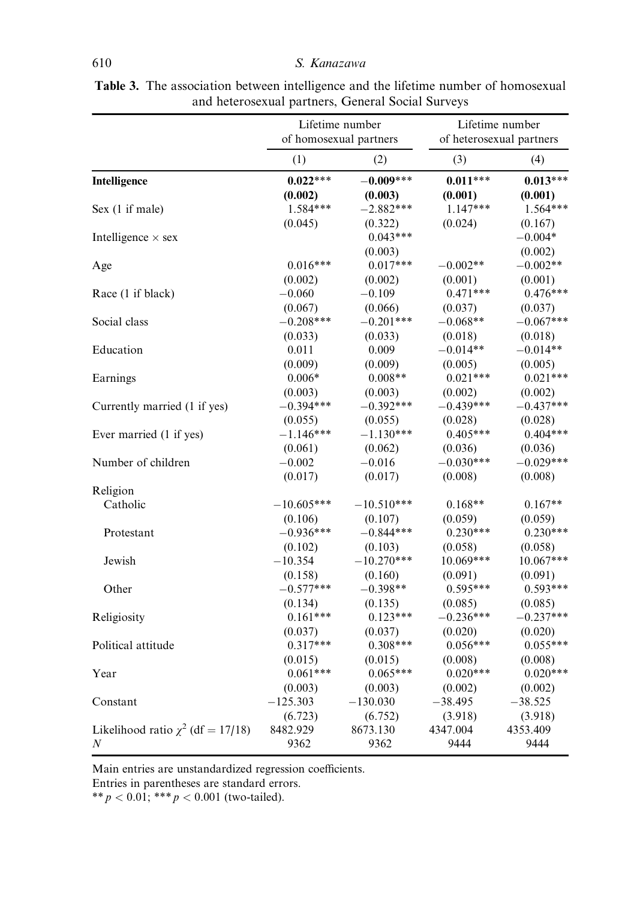|                                        | Lifetime number<br>of homosexual partners |                        | Lifetime number<br>of heterosexual partners |                       |
|----------------------------------------|-------------------------------------------|------------------------|---------------------------------------------|-----------------------|
|                                        | (1)                                       | (2)                    | (3)                                         | (4)                   |
| Intelligence                           | $0.022***$                                | $-0.009***$            | $0.011***$                                  | $0.013***$            |
|                                        | (0.002)                                   | (0.003)                | (0.001)                                     | (0.001)               |
| Sex (1 if male)                        | $1.584***$                                | $-2.882***$            | $1.147***$                                  | 1.564***              |
|                                        | (0.045)                                   | (0.322)                | (0.024)                                     | (0.167)               |
| Intelligence $\times$ sex              |                                           | $0.043***$<br>(0.003)  |                                             | $-0.004*$<br>(0.002)  |
| Age                                    | $0.016***$                                | $0.017***$             | $-0.002**$                                  | $-0.002**$            |
|                                        | (0.002)                                   | (0.002)                | (0.001)                                     | (0.001)               |
| Race (1 if black)                      | $-0.060$                                  | $-0.109$               | $0.471***$                                  | $0.476***$            |
|                                        | (0.067)                                   | (0.066)                | (0.037)                                     | (0.037)               |
| Social class                           | $-0.208***$                               | $-0.201***$            | $-0.068**$                                  | $-0.067***$           |
|                                        | (0.033)                                   | (0.033)                | (0.018)                                     | (0.018)               |
| Education                              | 0.011                                     | 0.009                  | $-0.014**$                                  | $-0.014**$            |
|                                        | (0.009)                                   | (0.009)                | (0.005)                                     | (0.005)               |
| Earnings                               | $0.006*$                                  | $0.008**$              | $0.021***$                                  | $0.021***$            |
|                                        | (0.003)                                   | (0.003)                | (0.002)                                     | (0.002)               |
| Currently married (1 if yes)           | $-0.394***$                               | $-0.392***$            | $-0.439***$                                 | $-0.437***$           |
|                                        | (0.055)                                   | (0.055)                | (0.028)                                     | (0.028)               |
| Ever married (1 if yes)                | $-1.146***$                               | $-1.130***$            | $0.405***$                                  | $0.404***$            |
|                                        | (0.061)                                   | (0.062)                | (0.036)                                     | (0.036)               |
| Number of children                     | $-0.002$                                  | $-0.016$               | $-0.030***$                                 | $-0.029***$           |
|                                        | (0.017)                                   | (0.017)                | (0.008)                                     | (0.008)               |
| Religion<br>Catholic                   | $-10.605***$                              | $-10.510***$           | $0.168**$                                   | $0.167**$             |
|                                        | (0.106)<br>$-0.936***$                    | (0.107)<br>$-0.844***$ | (0.059)                                     | (0.059)<br>$0.230***$ |
| Protestant                             | (0.102)                                   | (0.103)                | $0.230***$<br>(0.058)                       | (0.058)               |
| Jewish                                 | $-10.354$                                 | $-10.270***$           | $10.069***$                                 | 10.067***             |
|                                        | (0.158)                                   | (0.160)                | (0.091)                                     | (0.091)               |
| Other                                  | $-0.577***$                               | $-0.398**$             | $0.595***$                                  | $0.593***$            |
|                                        | (0.134)                                   | (0.135)                | (0.085)                                     | (0.085)               |
| Religiosity                            | $0.161***$                                | $0.123***$             | $-0.236***$                                 | $-0.237***$           |
|                                        | (0.037)                                   | (0.037)                | (0.020)                                     | (0.020)               |
| Political attitude                     | $0.317***$                                | $0.308***$             | $0.056***$                                  | $0.055***$            |
|                                        | (0.015)                                   | (0.015)                | (0.008)                                     | (0.008)               |
| Year                                   | $0.061***$                                | $0.065***$             | $0.020***$                                  | $0.020***$            |
|                                        | (0.003)                                   | (0.003)                | (0.002)                                     | (0.002)               |
| Constant                               | $-125.303$                                | $-130.030$             | $-38.495$                                   | $-38.525$             |
|                                        | (6.723)                                   | (6.752)                | (3.918)                                     | (3.918)               |
| Likelihood ratio $\chi^2$ (df = 17/18) | 8482.929                                  | 8673.130               | 4347.004                                    | 4353.409              |
| $\boldsymbol{N}$                       | 9362                                      | 9362                   | 9444                                        | 9444                  |

Table 3. The association between intelligence and the lifetime number of homosexual and heterosexual partners, General Social Surveys

Main entries are unstandardized regression coefficients.

Entries in parentheses are standard errors.

\*\*  $p < 0.01$ ; \*\*\*  $p < 0.001$  (two-tailed).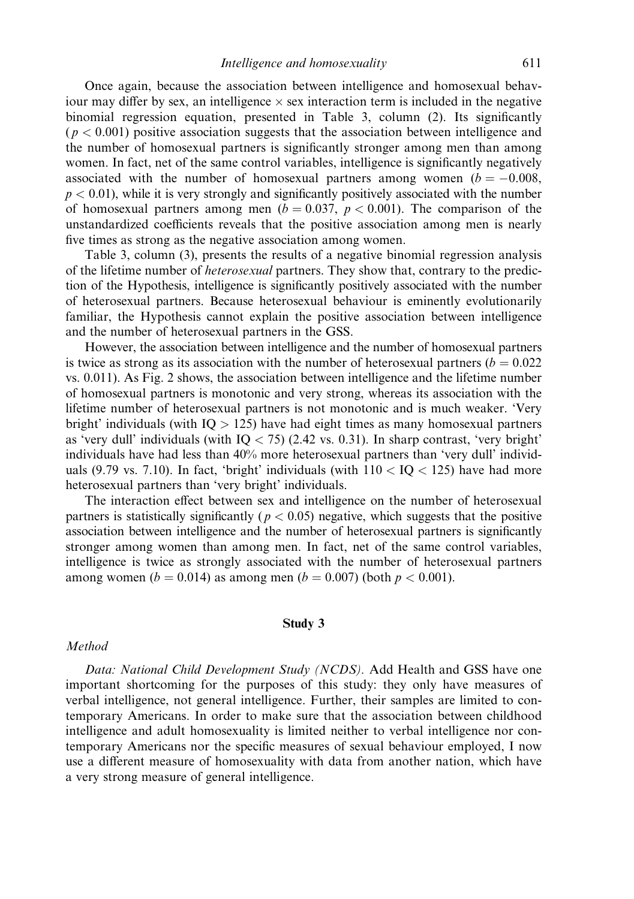Once again, because the association between intelligence and homosexual behaviour may differ by sex, an intelligence  $\times$  sex interaction term is included in the negative binomial regression equation, presented in Table 3, column (2). Its significantly  $(p < 0.001)$  positive association suggests that the association between intelligence and the number of homosexual partners is significantly stronger among men than among women. In fact, net of the same control variables, intelligence is significantly negatively associated with the number of homosexual partners among women  $(b = -0.008,$  $p < 0.01$ ), while it is very strongly and significantly positively associated with the number of homosexual partners among men ( $b = 0.037$ ,  $p < 0.001$ ). The comparison of the unstandardized coefficients reveals that the positive association among men is nearly five times as strong as the negative association among women.

Table 3, column (3), presents the results of a negative binomial regression analysis of the lifetime number of heterosexual partners. They show that, contrary to the prediction of the Hypothesis, intelligence is significantly positively associated with the number of heterosexual partners. Because heterosexual behaviour is eminently evolutionarily familiar, the Hypothesis cannot explain the positive association between intelligence and the number of heterosexual partners in the GSS.

However, the association between intelligence and the number of homosexual partners is twice as strong as its association with the number of heterosexual partners ( $b = 0.022$ ) vs. 0.011). As Fig. 2 shows, the association between intelligence and the lifetime number of homosexual partners is monotonic and very strong, whereas its association with the lifetime number of heterosexual partners is not monotonic and is much weaker. 'Very bright' individuals (with  $IQ > 125$ ) have had eight times as many homosexual partners as 'very dull' individuals (with  $IQ < 75$ ) (2.42 vs. 0.31). In sharp contrast, 'very bright' individuals have had less than 40% more heterosexual partners than 'very dull' individuals (9.79 vs. 7.10). In fact, 'bright' individuals (with  $110 < IQ < 125$ ) have had more heterosexual partners than 'very bright' individuals.

The interaction effect between sex and intelligence on the number of heterosexual partners is statistically significantly ( $p < 0.05$ ) negative, which suggests that the positive association between intelligence and the number of heterosexual partners is significantly stronger among women than among men. In fact, net of the same control variables, intelligence is twice as strongly associated with the number of heterosexual partners among women ( $b = 0.014$ ) as among men ( $b = 0.007$ ) (both  $p < 0.001$ ).

#### Study 3

## Method

Data: National Child Development Study (NCDS). Add Health and GSS have one important shortcoming for the purposes of this study: they only have measures of verbal intelligence, not general intelligence. Further, their samples are limited to contemporary Americans. In order to make sure that the association between childhood intelligence and adult homosexuality is limited neither to verbal intelligence nor contemporary Americans nor the specific measures of sexual behaviour employed, I now use a different measure of homosexuality with data from another nation, which have a very strong measure of general intelligence.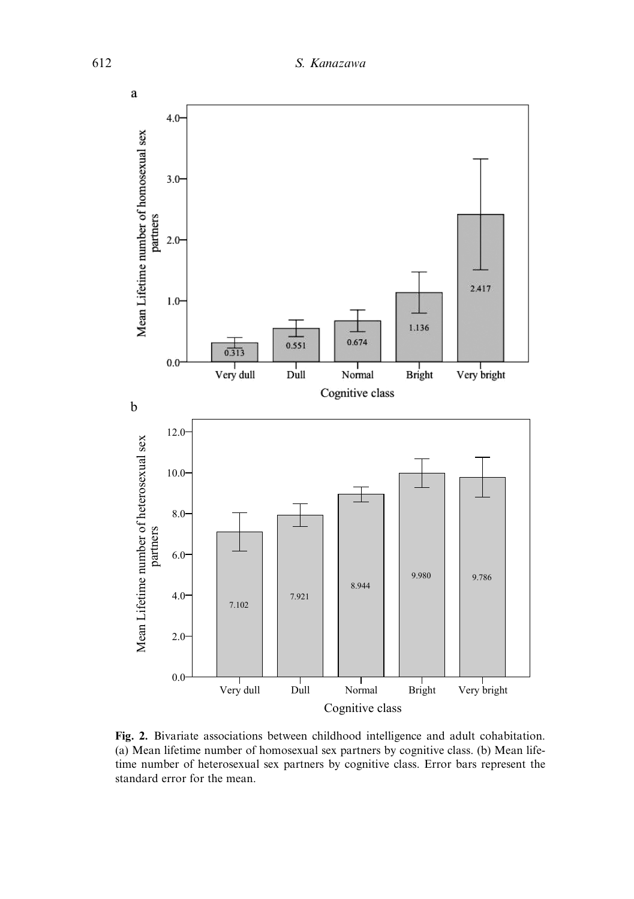

Fig. 2. Bivariate associations between childhood intelligence and adult cohabitation. (a) Mean lifetime number of homosexual sex partners by cognitive class. (b) Mean lifetime number of heterosexual sex partners by cognitive class. Error bars represent the standard error for the mean.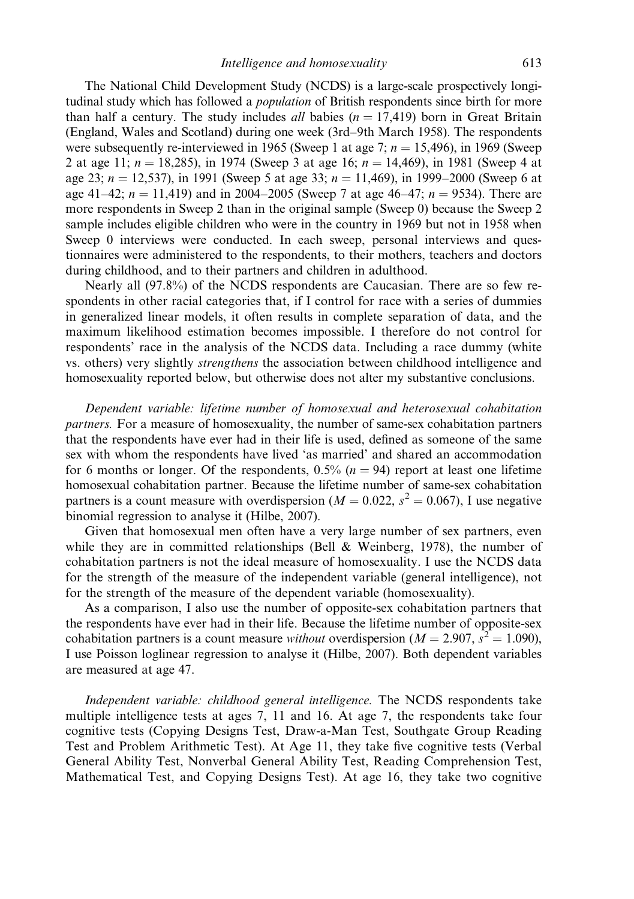The National Child Development Study (NCDS) is a large-scale prospectively longitudinal study which has followed a population of British respondents since birth for more than half a century. The study includes *all* babies  $(n = 17,419)$  born in Great Britain (England, Wales and Scotland) during one week (3rd–9th March 1958). The respondents were subsequently re-interviewed in 1965 (Sweep 1 at age 7;  $n = 15,496$ ), in 1969 (Sweep 2 at age 11;  $n = 18,285$ , in 1974 (Sweep 3 at age 16;  $n = 14,469$ ), in 1981 (Sweep 4 at age 23;  $n = 12,537$ , in 1991 (Sweep 5 at age 33;  $n = 11,469$ ), in 1999–2000 (Sweep 6 at age 41–42;  $n = 11,419$ ) and in 2004–2005 (Sweep 7 at age 46–47;  $n = 9534$ ). There are more respondents in Sweep 2 than in the original sample (Sweep 0) because the Sweep 2 sample includes eligible children who were in the country in 1969 but not in 1958 when Sweep 0 interviews were conducted. In each sweep, personal interviews and questionnaires were administered to the respondents, to their mothers, teachers and doctors during childhood, and to their partners and children in adulthood.

Nearly all (97.8%) of the NCDS respondents are Caucasian. There are so few respondents in other racial categories that, if I control for race with a series of dummies in generalized linear models, it often results in complete separation of data, and the maximum likelihood estimation becomes impossible. I therefore do not control for respondents' race in the analysis of the NCDS data. Including a race dummy (white vs. others) very slightly strengthens the association between childhood intelligence and homosexuality reported below, but otherwise does not alter my substantive conclusions.

Dependent variable: lifetime number of homosexual and heterosexual cohabitation partners. For a measure of homosexuality, the number of same-sex cohabitation partners that the respondents have ever had in their life is used, defined as someone of the same sex with whom the respondents have lived 'as married' and shared an accommodation for 6 months or longer. Of the respondents,  $0.5\%$  ( $n = 94$ ) report at least one lifetime homosexual cohabitation partner. Because the lifetime number of same-sex cohabitation partners is a count measure with overdispersion ( $M = 0.022$ ,  $s^2 = 0.067$ ), I use negative binomial regression to analyse it (Hilbe, 2007).

Given that homosexual men often have a very large number of sex partners, even while they are in committed relationships (Bell  $&$  Weinberg, 1978), the number of cohabitation partners is not the ideal measure of homosexuality. I use the NCDS data for the strength of the measure of the independent variable (general intelligence), not for the strength of the measure of the dependent variable (homosexuality).

As a comparison, I also use the number of opposite-sex cohabitation partners that the respondents have ever had in their life. Because the lifetime number of opposite-sex cohabitation partners is a count measure *without* overdispersion ( $M = 2.907$ ,  $s^2 = 1.090$ ), I use Poisson loglinear regression to analyse it (Hilbe, 2007). Both dependent variables are measured at age 47.

Independent variable: childhood general intelligence. The NCDS respondents take multiple intelligence tests at ages 7, 11 and 16. At age 7, the respondents take four cognitive tests (Copying Designs Test, Draw-a-Man Test, Southgate Group Reading Test and Problem Arithmetic Test). At Age 11, they take five cognitive tests (Verbal General Ability Test, Nonverbal General Ability Test, Reading Comprehension Test, Mathematical Test, and Copying Designs Test). At age 16, they take two cognitive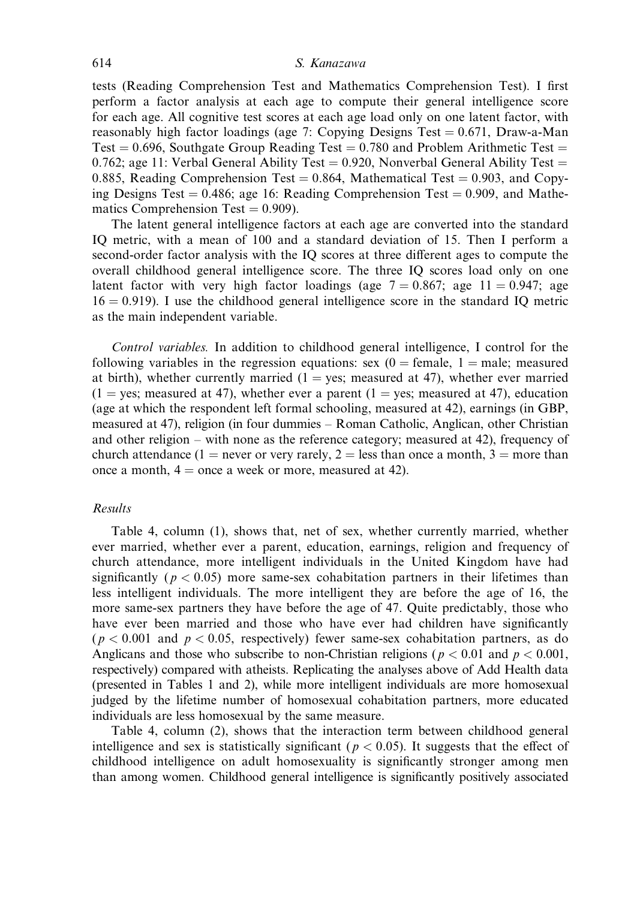#### 614 S. Kanazawa

tests (Reading Comprehension Test and Mathematics Comprehension Test). I first perform a factor analysis at each age to compute their general intelligence score for each age. All cognitive test scores at each age load only on one latent factor, with reasonably high factor loadings (age 7: Copying Designs Test  $= 0.671$ , Draw-a-Man Test  $= 0.696$ , Southgate Group Reading Test  $= 0.780$  and Problem Arithmetic Test  $=$ 0.762; age 11: Verbal General Ability Test  $= 0.920$ , Nonverbal General Ability Test  $=$ 0.885, Reading Comprehension Test  $= 0.864$ , Mathematical Test  $= 0.903$ , and Copying Designs Test  $= 0.486$ ; age 16: Reading Comprehension Test  $= 0.909$ , and Mathematics Comprehension Test  $= 0.909$ ).

The latent general intelligence factors at each age are converted into the standard IQ metric, with a mean of 100 and a standard deviation of 15. Then I perform a second-order factor analysis with the IQ scores at three different ages to compute the overall childhood general intelligence score. The three IQ scores load only on one latent factor with very high factor loadings (age  $7 = 0.867$ ; age  $11 = 0.947$ ; age  $16 = 0.919$ ). I use the childhood general intelligence score in the standard IQ metric as the main independent variable.

Control variables. In addition to childhood general intelligence, I control for the following variables in the regression equations: sex  $(0)$  = female, 1 = male; measured at birth), whether currently married  $(1 = yes; measured at 47)$ , whether ever married  $(1 = \text{yes}; \text{measured at } 47)$ , whether ever a parent  $(1 = \text{yes}; \text{measured at } 47)$ , education (age at which the respondent left formal schooling, measured at 42), earnings (in GBP, measured at 47), religion (in four dummies – Roman Catholic, Anglican, other Christian and other religion – with none as the reference category; measured at 42), frequency of church attendance (1 = never or very rarely, 2 = less than once a month, 3 = more than once a month,  $4 =$  once a week or more, measured at 42).

## Results

Table 4, column (1), shows that, net of sex, whether currently married, whether ever married, whether ever a parent, education, earnings, religion and frequency of church attendance, more intelligent individuals in the United Kingdom have had significantly ( $p < 0.05$ ) more same-sex cohabitation partners in their lifetimes than less intelligent individuals. The more intelligent they are before the age of 16, the more same-sex partners they have before the age of 47. Quite predictably, those who have ever been married and those who have ever had children have significantly  $(p < 0.001$  and  $p < 0.05$ , respectively) fewer same-sex cohabitation partners, as do Anglicans and those who subscribe to non-Christian religions ( $p < 0.01$  and  $p < 0.001$ , respectively) compared with atheists. Replicating the analyses above of Add Health data (presented in Tables 1 and 2), while more intelligent individuals are more homosexual judged by the lifetime number of homosexual cohabitation partners, more educated individuals are less homosexual by the same measure.

Table 4, column (2), shows that the interaction term between childhood general intelligence and sex is statistically significant ( $p < 0.05$ ). It suggests that the effect of childhood intelligence on adult homosexuality is significantly stronger among men than among women. Childhood general intelligence is significantly positively associated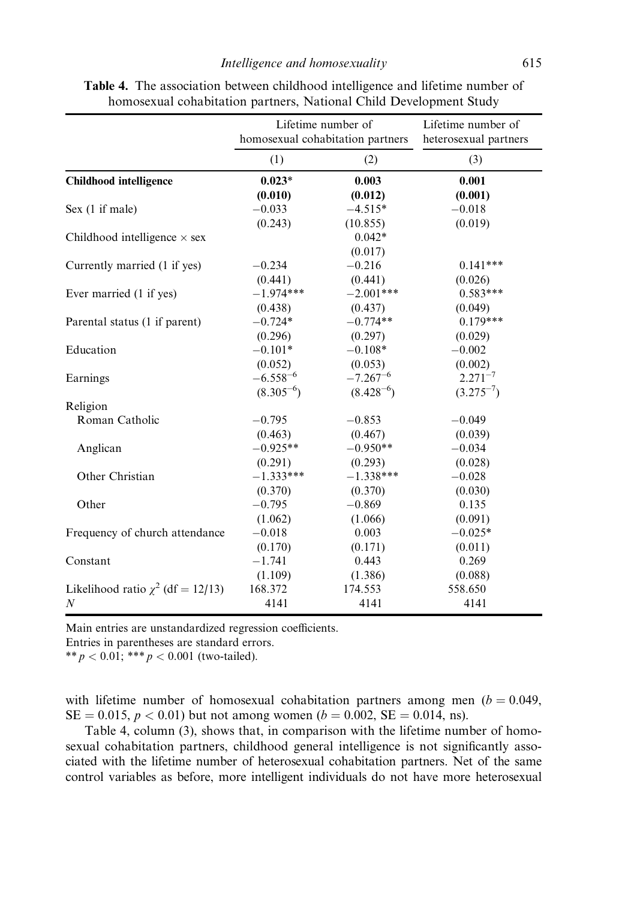|                                        | Lifetime number of<br>homosexual cohabitation partners |                     | Lifetime number of<br>heterosexual partners |
|----------------------------------------|--------------------------------------------------------|---------------------|---------------------------------------------|
|                                        | (1)                                                    | (2)                 | (3)                                         |
| <b>Childhood intelligence</b>          | $0.023*$                                               | 0.003               | 0.001                                       |
|                                        | (0.010)                                                | (0.012)             | (0.001)                                     |
| Sex (1 if male)                        | $-0.033$                                               | $-4.515*$           | $-0.018$                                    |
|                                        | (0.243)                                                | (10.855)            | (0.019)                                     |
| Childhood intelligence $\times$ sex    |                                                        | $0.042*$<br>(0.017) |                                             |
| Currently married (1 if yes)           | $-0.234$                                               | $-0.216$            | $0.141***$                                  |
|                                        | (0.441)                                                | (0.441)             | (0.026)                                     |
| Ever married (1 if yes)                | $-1.974***$                                            | $-2.001***$         | $0.583***$                                  |
|                                        | (0.438)                                                | (0.437)             | (0.049)                                     |
| Parental status (1 if parent)          | $-0.724*$                                              | $-0.774**$          | $0.179***$                                  |
|                                        | (0.296)                                                | (0.297)             | (0.029)                                     |
| Education                              | $-0.101*$                                              | $-0.108*$           | $-0.002$                                    |
|                                        | (0.052)                                                | (0.053)             | (0.002)                                     |
| Earnings                               | $-6.558^{-6}$                                          | $-7.267^{-6}$       | $2.271^{-7}$                                |
|                                        | $(8.305^{-6})$                                         | $(8.428^{-6})$      | $(3.275^{-7})$                              |
| Religion                               |                                                        |                     |                                             |
| Roman Catholic                         | $-0.795$                                               | $-0.853$            | $-0.049$                                    |
|                                        | (0.463)                                                | (0.467)             | (0.039)                                     |
| Anglican                               | $-0.925**$                                             | $-0.950**$          | $-0.034$                                    |
|                                        | (0.291)                                                | (0.293)             | (0.028)                                     |
| Other Christian                        | $-1.333***$                                            | $-1.338***$         | $-0.028$                                    |
|                                        | (0.370)                                                | (0.370)             | (0.030)                                     |
| Other                                  | $-0.795$                                               | $-0.869$            | 0.135                                       |
|                                        | (1.062)                                                | (1.066)             | (0.091)                                     |
| Frequency of church attendance         | $-0.018$                                               | 0.003               | $-0.025*$                                   |
|                                        | (0.170)                                                | (0.171)             | (0.011)                                     |
| Constant                               | $-1.741$                                               | 0.443               | 0.269                                       |
|                                        | (1.109)                                                | (1.386)             | (0.088)                                     |
| Likelihood ratio $\chi^2$ (df = 12/13) | 168.372                                                | 174.553             | 558.650                                     |
| $\boldsymbol{N}$                       | 4141                                                   | 4141                | 4141                                        |

Table 4. The association between childhood intelligence and lifetime number of homosexual cohabitation partners, National Child Development Study

Main entries are unstandardized regression coefficients.

Entries in parentheses are standard errors.

\*\*  $p < 0.01$ ; \*\*\*  $p < 0.001$  (two-tailed).

with lifetime number of homosexual cohabitation partners among men  $(b = 0.049)$ ,  $SE = 0.015$ ,  $p < 0.01$ ) but not among women ( $b = 0.002$ ,  $SE = 0.014$ , ns).

Table 4, column (3), shows that, in comparison with the lifetime number of homosexual cohabitation partners, childhood general intelligence is not significantly associated with the lifetime number of heterosexual cohabitation partners. Net of the same control variables as before, more intelligent individuals do not have more heterosexual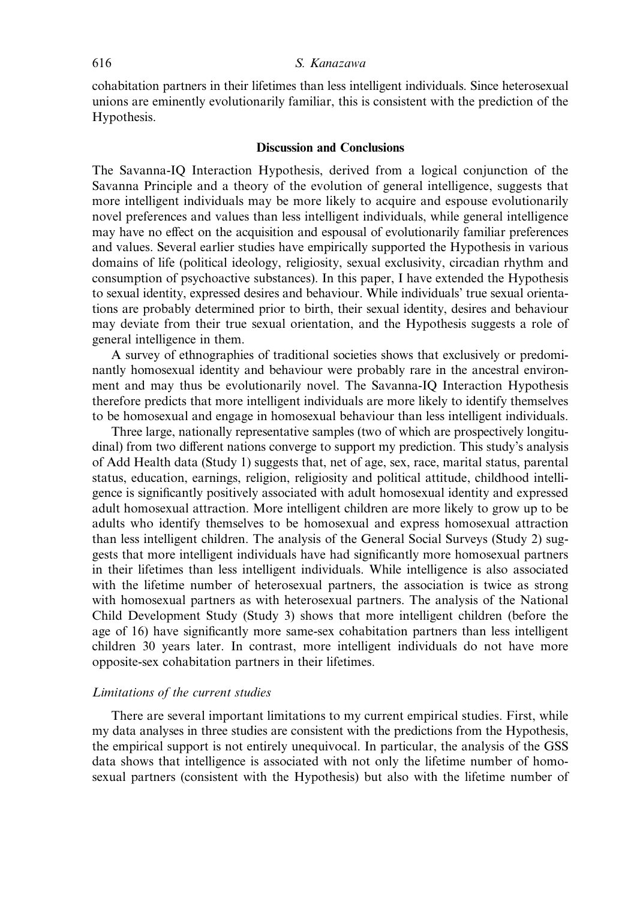## 616 S. Kanazawa

cohabitation partners in their lifetimes than less intelligent individuals. Since heterosexual unions are eminently evolutionarily familiar, this is consistent with the prediction of the Hypothesis.

## Discussion and Conclusions

The Savanna-IQ Interaction Hypothesis, derived from a logical conjunction of the Savanna Principle and a theory of the evolution of general intelligence, suggests that more intelligent individuals may be more likely to acquire and espouse evolutionarily novel preferences and values than less intelligent individuals, while general intelligence may have no effect on the acquisition and espousal of evolutionarily familiar preferences and values. Several earlier studies have empirically supported the Hypothesis in various domains of life (political ideology, religiosity, sexual exclusivity, circadian rhythm and consumption of psychoactive substances). In this paper, I have extended the Hypothesis to sexual identity, expressed desires and behaviour. While individuals' true sexual orientations are probably determined prior to birth, their sexual identity, desires and behaviour may deviate from their true sexual orientation, and the Hypothesis suggests a role of general intelligence in them.

A survey of ethnographies of traditional societies shows that exclusively or predominantly homosexual identity and behaviour were probably rare in the ancestral environment and may thus be evolutionarily novel. The Savanna-IQ Interaction Hypothesis therefore predicts that more intelligent individuals are more likely to identify themselves to be homosexual and engage in homosexual behaviour than less intelligent individuals.

Three large, nationally representative samples (two of which are prospectively longitudinal) from two different nations converge to support my prediction. This study's analysis of Add Health data (Study 1) suggests that, net of age, sex, race, marital status, parental status, education, earnings, religion, religiosity and political attitude, childhood intelligence is significantly positively associated with adult homosexual identity and expressed adult homosexual attraction. More intelligent children are more likely to grow up to be adults who identify themselves to be homosexual and express homosexual attraction than less intelligent children. The analysis of the General Social Surveys (Study 2) suggests that more intelligent individuals have had significantly more homosexual partners in their lifetimes than less intelligent individuals. While intelligence is also associated with the lifetime number of heterosexual partners, the association is twice as strong with homosexual partners as with heterosexual partners. The analysis of the National Child Development Study (Study 3) shows that more intelligent children (before the age of 16) have significantly more same-sex cohabitation partners than less intelligent children 30 years later. In contrast, more intelligent individuals do not have more opposite-sex cohabitation partners in their lifetimes.

## Limitations of the current studies

There are several important limitations to my current empirical studies. First, while my data analyses in three studies are consistent with the predictions from the Hypothesis, the empirical support is not entirely unequivocal. In particular, the analysis of the GSS data shows that intelligence is associated with not only the lifetime number of homosexual partners (consistent with the Hypothesis) but also with the lifetime number of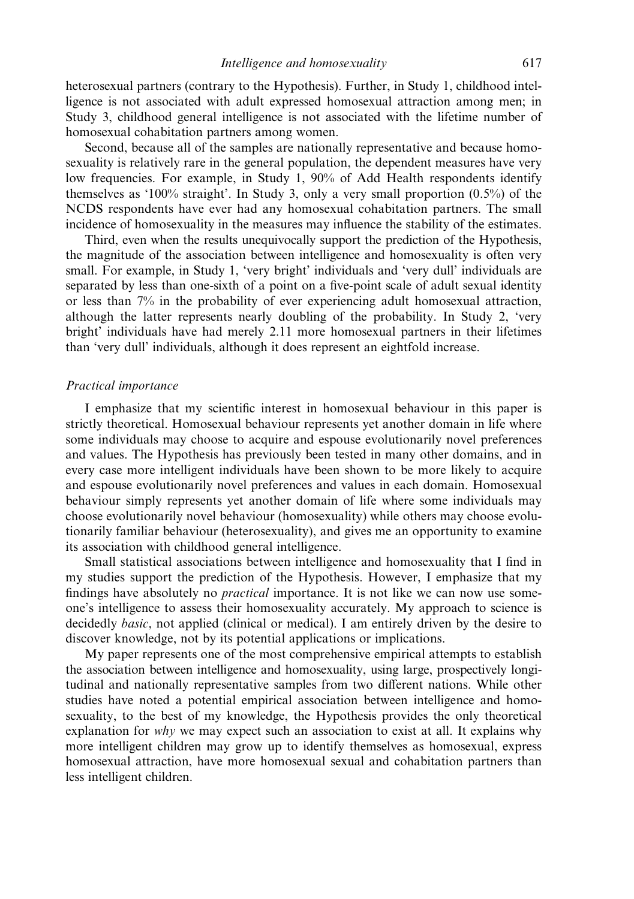heterosexual partners (contrary to the Hypothesis). Further, in Study 1, childhood intelligence is not associated with adult expressed homosexual attraction among men; in Study 3, childhood general intelligence is not associated with the lifetime number of homosexual cohabitation partners among women.

Second, because all of the samples are nationally representative and because homosexuality is relatively rare in the general population, the dependent measures have very low frequencies. For example, in Study 1, 90% of Add Health respondents identify themselves as '100% straight'. In Study 3, only a very small proportion (0.5%) of the NCDS respondents have ever had any homosexual cohabitation partners. The small incidence of homosexuality in the measures may influence the stability of the estimates.

Third, even when the results unequivocally support the prediction of the Hypothesis, the magnitude of the association between intelligence and homosexuality is often very small. For example, in Study 1, 'very bright' individuals and 'very dull' individuals are separated by less than one-sixth of a point on a five-point scale of adult sexual identity or less than 7% in the probability of ever experiencing adult homosexual attraction, although the latter represents nearly doubling of the probability. In Study 2, 'very bright' individuals have had merely 2.11 more homosexual partners in their lifetimes than 'very dull' individuals, although it does represent an eightfold increase.

#### Practical importance

I emphasize that my scientific interest in homosexual behaviour in this paper is strictly theoretical. Homosexual behaviour represents yet another domain in life where some individuals may choose to acquire and espouse evolutionarily novel preferences and values. The Hypothesis has previously been tested in many other domains, and in every case more intelligent individuals have been shown to be more likely to acquire and espouse evolutionarily novel preferences and values in each domain. Homosexual behaviour simply represents yet another domain of life where some individuals may choose evolutionarily novel behaviour (homosexuality) while others may choose evolutionarily familiar behaviour (heterosexuality), and gives me an opportunity to examine its association with childhood general intelligence.

Small statistical associations between intelligence and homosexuality that I find in my studies support the prediction of the Hypothesis. However, I emphasize that my findings have absolutely no *practical* importance. It is not like we can now use someone's intelligence to assess their homosexuality accurately. My approach to science is decidedly basic, not applied (clinical or medical). I am entirely driven by the desire to discover knowledge, not by its potential applications or implications.

My paper represents one of the most comprehensive empirical attempts to establish the association between intelligence and homosexuality, using large, prospectively longitudinal and nationally representative samples from two different nations. While other studies have noted a potential empirical association between intelligence and homosexuality, to the best of my knowledge, the Hypothesis provides the only theoretical explanation for *why* we may expect such an association to exist at all. It explains why more intelligent children may grow up to identify themselves as homosexual, express homosexual attraction, have more homosexual sexual and cohabitation partners than less intelligent children.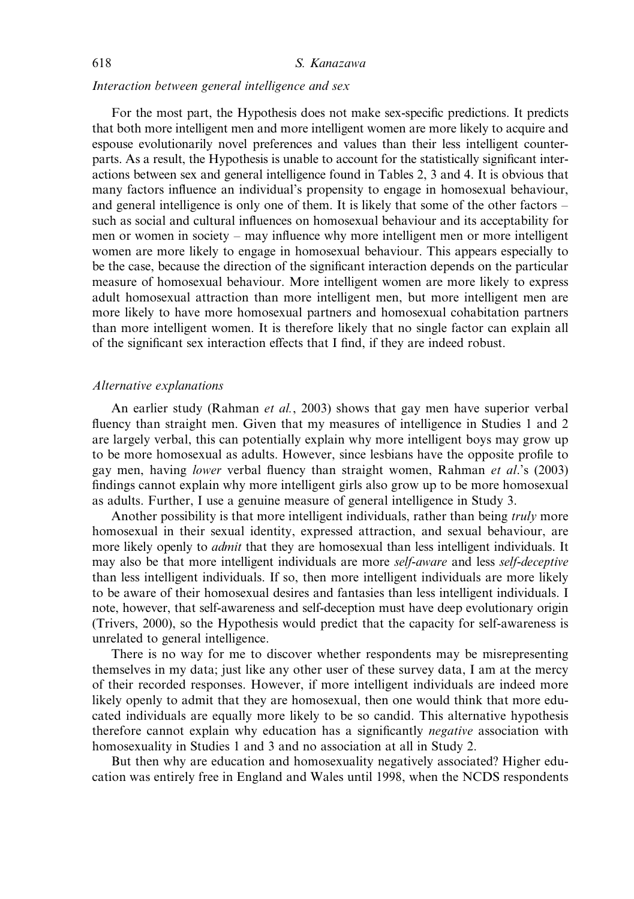## Interaction between general intelligence and sex

For the most part, the Hypothesis does not make sex-specific predictions. It predicts that both more intelligent men and more intelligent women are more likely to acquire and espouse evolutionarily novel preferences and values than their less intelligent counterparts. As a result, the Hypothesis is unable to account for the statistically significant interactions between sex and general intelligence found in Tables 2, 3 and 4. It is obvious that many factors influence an individual's propensity to engage in homosexual behaviour, and general intelligence is only one of them. It is likely that some of the other factors – such as social and cultural influences on homosexual behaviour and its acceptability for men or women in society – may influence why more intelligent men or more intelligent women are more likely to engage in homosexual behaviour. This appears especially to be the case, because the direction of the significant interaction depends on the particular measure of homosexual behaviour. More intelligent women are more likely to express adult homosexual attraction than more intelligent men, but more intelligent men are more likely to have more homosexual partners and homosexual cohabitation partners than more intelligent women. It is therefore likely that no single factor can explain all of the significant sex interaction effects that I find, if they are indeed robust.

## Alternative explanations

An earlier study (Rahman *et al.*, 2003) shows that gay men have superior verbal fluency than straight men. Given that my measures of intelligence in Studies 1 and 2 are largely verbal, this can potentially explain why more intelligent boys may grow up to be more homosexual as adults. However, since lesbians have the opposite profile to gay men, having lower verbal fluency than straight women, Rahman et al.'s (2003) findings cannot explain why more intelligent girls also grow up to be more homosexual as adults. Further, I use a genuine measure of general intelligence in Study 3.

Another possibility is that more intelligent individuals, rather than being *truly* more homosexual in their sexual identity, expressed attraction, and sexual behaviour, are more likely openly to *admit* that they are homosexual than less intelligent individuals. It may also be that more intelligent individuals are more self-aware and less self-deceptive than less intelligent individuals. If so, then more intelligent individuals are more likely to be aware of their homosexual desires and fantasies than less intelligent individuals. I note, however, that self-awareness and self-deception must have deep evolutionary origin (Trivers, 2000), so the Hypothesis would predict that the capacity for self-awareness is unrelated to general intelligence.

There is no way for me to discover whether respondents may be misrepresenting themselves in my data; just like any other user of these survey data, I am at the mercy of their recorded responses. However, if more intelligent individuals are indeed more likely openly to admit that they are homosexual, then one would think that more educated individuals are equally more likely to be so candid. This alternative hypothesis therefore cannot explain why education has a significantly *negative* association with homosexuality in Studies 1 and 3 and no association at all in Study 2.

But then why are education and homosexuality negatively associated? Higher education was entirely free in England and Wales until 1998, when the NCDS respondents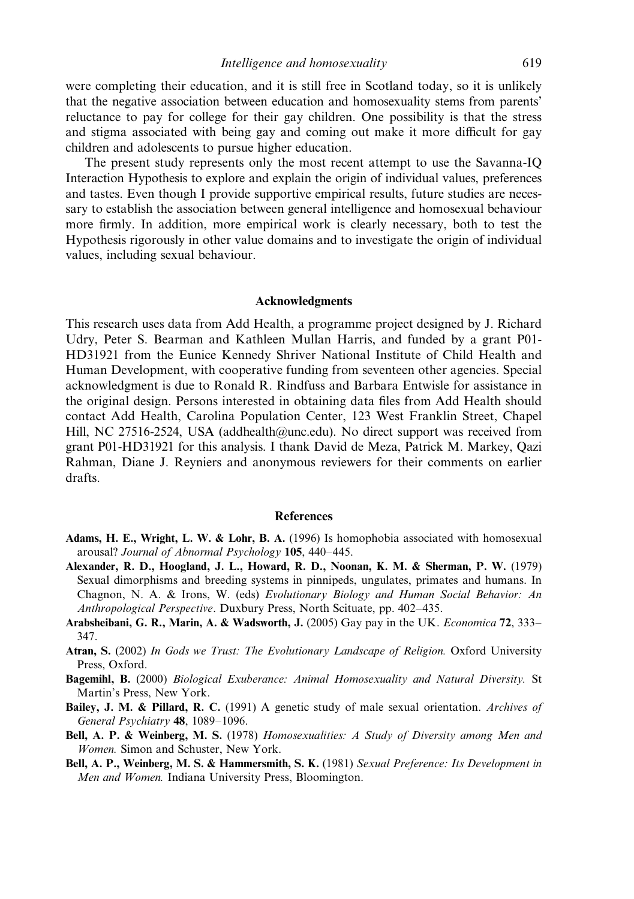were completing their education, and it is still free in Scotland today, so it is unlikely that the negative association between education and homosexuality stems from parents' reluctance to pay for college for their gay children. One possibility is that the stress and stigma associated with being gay and coming out make it more difficult for gay children and adolescents to pursue higher education.

The present study represents only the most recent attempt to use the Savanna-IQ Interaction Hypothesis to explore and explain the origin of individual values, preferences and tastes. Even though I provide supportive empirical results, future studies are necessary to establish the association between general intelligence and homosexual behaviour more firmly. In addition, more empirical work is clearly necessary, both to test the Hypothesis rigorously in other value domains and to investigate the origin of individual values, including sexual behaviour.

#### Acknowledgments

This research uses data from Add Health, a programme project designed by J. Richard Udry, Peter S. Bearman and Kathleen Mullan Harris, and funded by a grant P01- HD31921 from the Eunice Kennedy Shriver National Institute of Child Health and Human Development, with cooperative funding from seventeen other agencies. Special acknowledgment is due to Ronald R. Rindfuss and Barbara Entwisle for assistance in the original design. Persons interested in obtaining data files from Add Health should contact Add Health, Carolina Population Center, 123 West Franklin Street, Chapel Hill, NC 27516-2524, USA (addhealth@unc.edu). No direct support was received from grant P01-HD31921 for this analysis. I thank David de Meza, Patrick M. Markey, Qazi Rahman, Diane J. Reyniers and anonymous reviewers for their comments on earlier drafts.

#### **References**

- Adams, H. E., Wright, L. W. & Lohr, B. A. (1996) Is homophobia associated with homosexual arousal? Journal of Abnormal Psychology 105, 440–445.
- Alexander, R. D., Hoogland, J. L., Howard, R. D., Noonan, K. M. & Sherman, P. W. (1979) Sexual dimorphisms and breeding systems in pinnipeds, ungulates, primates and humans. In Chagnon, N. A. & Irons, W. (eds) Evolutionary Biology and Human Social Behavior: An Anthropological Perspective. Duxbury Press, North Scituate, pp. 402–435.
- Arabsheibani, G. R., Marin, A. & Wadsworth, J. (2005) Gay pay in the UK. Economica 72, 333– 347.
- Atran, S. (2002) In Gods we Trust: The Evolutionary Landscape of Religion. Oxford University Press, Oxford.
- Bagemihl, B. (2000) Biological Exuberance: Animal Homosexuality and Natural Diversity. St Martin's Press, New York.
- Bailey, J. M. & Pillard, R. C. (1991) A genetic study of male sexual orientation. Archives of General Psychiatry 48, 1089-1096.
- Bell, A. P. & Weinberg, M. S. (1978) Homosexualities: A Study of Diversity among Men and Women. Simon and Schuster, New York.
- Bell, A. P., Weinberg, M. S. & Hammersmith, S. K. (1981) Sexual Preference: Its Development in Men and Women. Indiana University Press, Bloomington.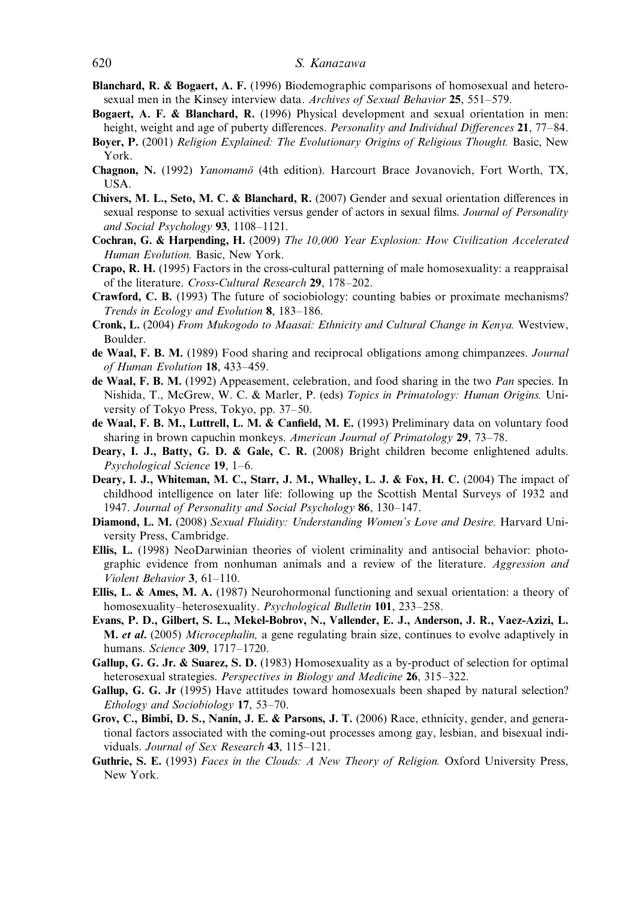## 620 S. Kanazawa

- Blanchard, R. & Bogaert, A. F. (1996) Biodemographic comparisons of homosexual and heterosexual men in the Kinsey interview data. Archives of Sexual Behavior 25, 551–579.
- Bogaert, A. F. & Blanchard, R. (1996) Physical development and sexual orientation in men: height, weight and age of puberty differences. *Personality and Individual Differences* 21, 77–84.
- Boyer, P. (2001) Religion Explained: The Evolutionary Origins of Religious Thought. Basic, New York.
- Chagnon, N. (1992) Yanomamö (4th edition). Harcourt Brace Jovanovich, Fort Worth, TX, USA.
- Chivers, M. L., Seto, M. C. & Blanchard, R. (2007) Gender and sexual orientation differences in sexual response to sexual activities versus gender of actors in sexual films. Journal of Personality and Social Psychology 93, 1108–1121.
- Cochran, G. & Harpending, H. (2009) The 10,000 Year Explosion: How Civilization Accelerated Human Evolution. Basic, New York.
- Crapo, R. H. (1995) Factors in the cross-cultural patterning of male homosexuality: a reappraisal of the literature. Cross-Cultural Research 29, 178–202.
- Crawford, C. B. (1993) The future of sociobiology: counting babies or proximate mechanisms? Trends in Ecology and Evolution 8, 183-186.
- Cronk, L. (2004) From Mukogodo to Maasai: Ethnicity and Cultural Change in Kenya. Westview, Boulder.
- de Waal, F. B. M. (1989) Food sharing and reciprocal obligations among chimpanzees. Journal of Human Evolution 18, 433–459.
- de Waal, F. B. M. (1992) Appeasement, celebration, and food sharing in the two Pan species. In Nishida, T., McGrew, W. C. & Marler, P. (eds) Topics in Primatology: Human Origins. University of Tokyo Press, Tokyo, pp. 37–50.
- de Waal, F. B. M., Luttrell, L. M. & Canfield, M. E. (1993) Preliminary data on voluntary food sharing in brown capuchin monkeys. American Journal of Primatology 29, 73–78.
- Deary, I. J., Batty, G. D. & Gale, C. R. (2008) Bright children become enlightened adults. Psychological Science 19, 1–6.
- Deary, I. J., Whiteman, M. C., Starr, J. M., Whalley, L. J. & Fox, H. C. (2004) The impact of childhood intelligence on later life: following up the Scottish Mental Surveys of 1932 and 1947. Journal of Personality and Social Psychology 86, 130–147.
- Diamond, L. M. (2008) Sexual Fluidity: Understanding Women's Love and Desire. Harvard University Press, Cambridge.
- Ellis, L. (1998) NeoDarwinian theories of violent criminality and antisocial behavior: photographic evidence from nonhuman animals and a review of the literature. Aggression and Violent Behavior 3, 61–110.
- Ellis, L. & Ames, M. A. (1987) Neurohormonal functioning and sexual orientation: a theory of homosexuality–heterosexuality. Psychological Bulletin 101, 233–258.
- Evans, P. D., Gilbert, S. L., Mekel-Bobrov, N., Vallender, E. J., Anderson, J. R., Vaez-Azizi, L. **M.** et al. (2005) *Microcephalin*, a gene regulating brain size, continues to evolve adaptively in humans. Science 309, 1717–1720.
- Gallup, G. G. Jr. & Suarez, S. D. (1983) Homosexuality as a by-product of selection for optimal heterosexual strategies. *Perspectives in Biology and Medicine* 26, 315–322.
- Gallup, G. G. Jr (1995) Have attitudes toward homosexuals been shaped by natural selection? Ethology and Sociobiology 17, 53–70.
- Grov, C., Bimbi, D. S., Nanín, J. E. & Parsons, J. T. (2006) Race, ethnicity, gender, and generational factors associated with the coming-out processes among gay, lesbian, and bisexual individuals. Journal of Sex Research 43, 115–121.
- Guthrie, S. E. (1993) Faces in the Clouds: A New Theory of Religion. Oxford University Press, New York.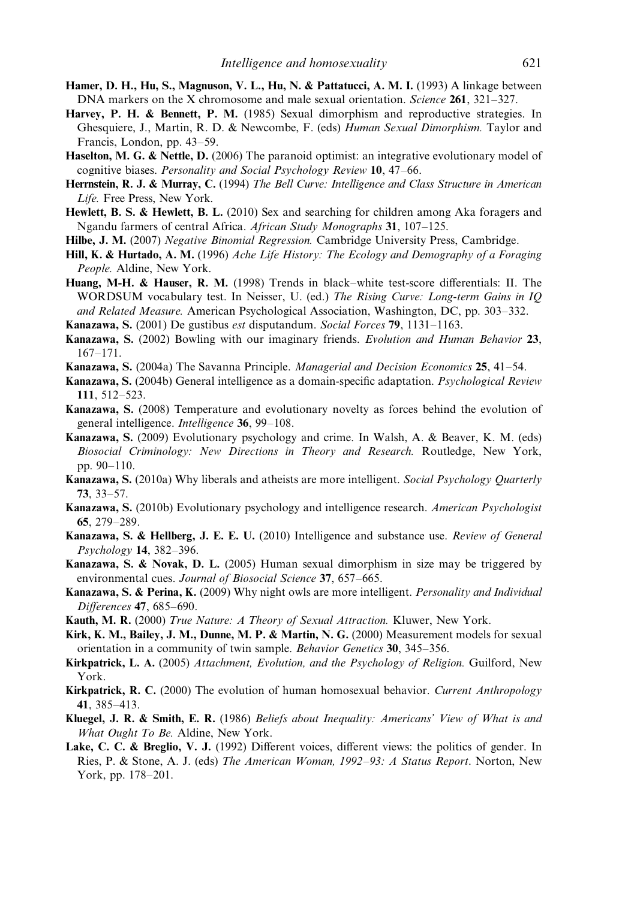- Hamer, D. H., Hu, S., Magnuson, V. L., Hu, N. & Pattatucci, A. M. I. (1993) A linkage between DNA markers on the X chromosome and male sexual orientation. Science 261, 321–327.
- Harvey, P. H. & Bennett, P. M. (1985) Sexual dimorphism and reproductive strategies. In Ghesquiere, J., Martin, R. D. & Newcombe, F. (eds) Human Sexual Dimorphism. Taylor and Francis, London, pp. 43–59.
- Haselton, M. G. & Nettle, D. (2006) The paranoid optimist: an integrative evolutionary model of cognitive biases. Personality and Social Psychology Review 10, 47–66.
- Herrnstein, R. J. & Murray, C. (1994) The Bell Curve: Intelligence and Class Structure in American Life. Free Press, New York.
- Hewlett, B. S. & Hewlett, B. L. (2010) Sex and searching for children among Aka foragers and Ngandu farmers of central Africa. African Study Monographs 31, 107-125.
- Hilbe, J. M. (2007) Negative Binomial Regression. Cambridge University Press, Cambridge.
- Hill, K. & Hurtado, A. M. (1996) Ache Life History: The Ecology and Demography of a Foraging People. Aldine, New York.
- Huang, M-H. & Hauser, R. M. (1998) Trends in black–white test-score differentials: II. The WORDSUM vocabulary test. In Neisser, U. (ed.) The Rising Curve: Long-term Gains in IQ and Related Measure. American Psychological Association, Washington, DC, pp. 303–332.
- Kanazawa, S. (2001) De gustibus est disputandum. Social Forces 79, 1131–1163.
- Kanazawa, S. (2002) Bowling with our imaginary friends. Evolution and Human Behavior 23, 167–171.
- Kanazawa, S. (2004a) The Savanna Principle. Managerial and Decision Economics 25, 41–54.
- Kanazawa, S. (2004b) General intelligence as a domain-specific adaptation. Psychological Review 111, 512–523.
- Kanazawa, S. (2008) Temperature and evolutionary novelty as forces behind the evolution of general intelligence. *Intelligence* 36, 99-108.
- Kanazawa, S. (2009) Evolutionary psychology and crime. In Walsh, A. & Beaver, K. M. (eds) Biosocial Criminology: New Directions in Theory and Research. Routledge, New York, pp. 90–110.
- Kanazawa, S. (2010a) Why liberals and atheists are more intelligent. Social Psychology Quarterly 73, 33–57.
- Kanazawa, S. (2010b) Evolutionary psychology and intelligence research. American Psychologist 65, 279–289.
- Kanazawa, S. & Hellberg, J. E. E. U. (2010) Intelligence and substance use. Review of General Psychology 14, 382–396.
- Kanazawa, S. & Novak, D. L. (2005) Human sexual dimorphism in size may be triggered by environmental cues. Journal of Biosocial Science 37, 657–665.
- Kanazawa, S. & Perina, K. (2009) Why night owls are more intelligent. Personality and Individual Differences **47**, 685-690.
- Kauth, M. R. (2000) True Nature: A Theory of Sexual Attraction. Kluwer, New York.
- Kirk, K. M., Bailey, J. M., Dunne, M. P. & Martin, N. G. (2000) Measurement models for sexual orientation in a community of twin sample. Behavior Genetics 30, 345–356.
- Kirkpatrick, L. A. (2005) Attachment, Evolution, and the Psychology of Religion. Guilford, New York.
- **Kirkpatrick, R. C.** (2000) The evolution of human homosexual behavior. Current Anthropology 41, 385–413.
- Kluegel, J. R. & Smith, E. R. (1986) Beliefs about Inequality: Americans' View of What is and What Ought To Be. Aldine, New York.
- Lake, C. C. & Breglio, V. J. (1992) Different voices, different views: the politics of gender. In Ries, P. & Stone, A. J. (eds) The American Woman, 1992–93: A Status Report. Norton, New York, pp. 178–201.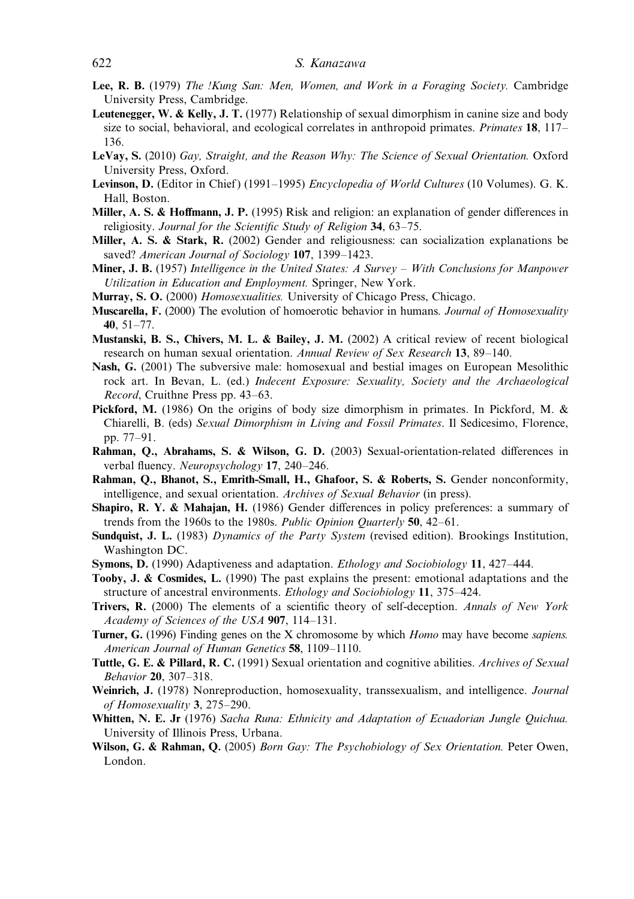## 622 S. Kanazawa

- Lee, R. B. (1979) The !Kung San: Men, Women, and Work in a Foraging Society. Cambridge University Press, Cambridge.
- Leutenegger, W. & Kelly, J. T. (1977) Relationship of sexual dimorphism in canine size and body size to social, behavioral, and ecological correlates in anthropoid primates. *Primates* 18,  $117-$ 136.
- LeVay, S. (2010) Gay, Straight, and the Reason Why: The Science of Sexual Orientation. Oxford University Press, Oxford.
- Levinson, D. (Editor in Chief) (1991–1995) *Encyclopedia of World Cultures* (10 Volumes). G. K. Hall, Boston.
- Miller, A. S. & Hoffmann, J. P. (1995) Risk and religion: an explanation of gender differences in religiosity. Journal for the Scientific Study of Religion 34, 63-75.
- Miller, A. S. & Stark, R. (2002) Gender and religiousness: can socialization explanations be saved? American Journal of Sociology 107, 1399-1423.
- **Miner, J. B.** (1957) Intelligence in the United States: A Survey With Conclusions for Manpower Utilization in Education and Employment. Springer, New York.
- Murray, S. O. (2000) *Homosexualities*. University of Chicago Press, Chicago.
- **Muscarella, F.** (2000) The evolution of homoerotic behavior in humans. Journal of Homosexuality 40, 51–77.
- Mustanski, B. S., Chivers, M. L. & Bailey, J. M. (2002) A critical review of recent biological research on human sexual orientation. Annual Review of Sex Research 13, 89–140.
- Nash, G. (2001) The subversive male: homosexual and bestial images on European Mesolithic rock art. In Bevan, L. (ed.) Indecent Exposure: Sexuality, Society and the Archaeological Record, Cruithne Press pp. 43–63.
- Pickford, M. (1986) On the origins of body size dimorphism in primates. In Pickford, M. & Chiarelli, B. (eds) Sexual Dimorphism in Living and Fossil Primates. Il Sedicesimo, Florence, pp. 77–91.
- Rahman, Q., Abrahams, S. & Wilson, G. D. (2003) Sexual-orientation-related differences in verbal fluency. Neuropsychology 17, 240–246.
- Rahman, Q., Bhanot, S., Emrith-Small, H., Ghafoor, S. & Roberts, S. Gender nonconformity, intelligence, and sexual orientation. Archives of Sexual Behavior (in press).
- Shapiro, R. Y. & Mahajan, H. (1986) Gender differences in policy preferences: a summary of trends from the 1960s to the 1980s. Public Opinion Quarterly 50, 42–61.
- Sundquist, J. L. (1983) Dynamics of the Party System (revised edition). Brookings Institution, Washington DC.
- Symons, D. (1990) Adaptiveness and adaptation. Ethology and Sociobiology 11, 427–444.
- Tooby, J. & Cosmides, L. (1990) The past explains the present: emotional adaptations and the structure of ancestral environments. Ethology and Sociobiology 11, 375–424.
- Trivers, R. (2000) The elements of a scientific theory of self-deception. Annals of New York Academy of Sciences of the USA 907, 114–131.
- Turner, G. (1996) Finding genes on the X chromosome by which *Homo* may have become *sapiens*. American Journal of Human Genetics 58, 1109-1110.
- Tuttle, G. E. & Pillard, R. C. (1991) Sexual orientation and cognitive abilities. Archives of Sexual Behavior 20, 307–318.
- Weinrich, J. (1978) Nonreproduction, homosexuality, transsexualism, and intelligence. Journal of Homosexuality 3, 275–290.
- Whitten, N. E. Jr (1976) Sacha Runa: Ethnicity and Adaptation of Ecuadorian Jungle Ouichua. University of Illinois Press, Urbana.
- Wilson, G. & Rahman, Q. (2005) Born Gay: The Psychobiology of Sex Orientation. Peter Owen, London.